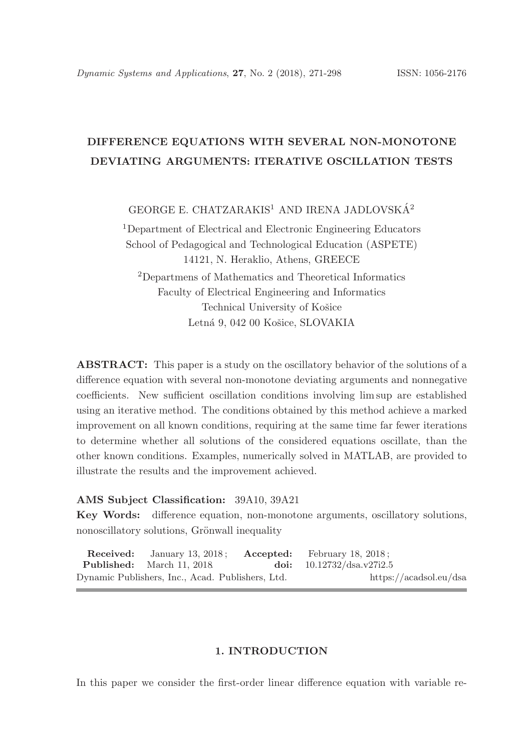# DIFFERENCE EQUATIONS WITH SEVERAL NON-MONOTONE DEVIATING ARGUMENTS: ITERATIVE OSCILLATION TESTS

GEORGE E. CHATZARAKIS<sup>1</sup> AND IRENA JADLOVSKÁ<sup>2</sup>

<sup>1</sup>Department of Electrical and Electronic Engineering Educators School of Pedagogical and Technological Education (ASPETE) 14121, N. Heraklio, Athens, GREECE <sup>2</sup>Departmens of Mathematics and Theoretical Informatics Faculty of Electrical Engineering and Informatics Technical University of Košice Letná 9, 042 00 Košice, SLOVAKIA

ABSTRACT: This paper is a study on the oscillatory behavior of the solutions of a difference equation with several non-monotone deviating arguments and nonnegative coefficients. New sufficient oscillation conditions involving lim sup are established using an iterative method. The conditions obtained by this method achieve a marked improvement on all known conditions, requiring at the same time far fewer iterations to determine whether all solutions of the considered equations oscillate, than the other known conditions. Examples, numerically solved in MATLAB, are provided to illustrate the results and the improvement achieved.

# AMS Subject Classification: 39A10, 39A21

Key Words: difference equation, non-monotone arguments, oscillatory solutions, nonoscillatory solutions, Grönwall inequality

| <b>Received:</b> January 13, 2018: <b>Accepted:</b> February 18, 2018: |                             |  |
|------------------------------------------------------------------------|-----------------------------|--|
| <b>Published:</b> March 11, 2018                                       | doi: $10.12732/dsa.v27i2.5$ |  |
| Dynamic Publishers, Inc., Acad. Publishers, Ltd.                       | https://acadsol.eu/dsa      |  |

### 1. INTRODUCTION

In this paper we consider the first-order linear difference equation with variable re-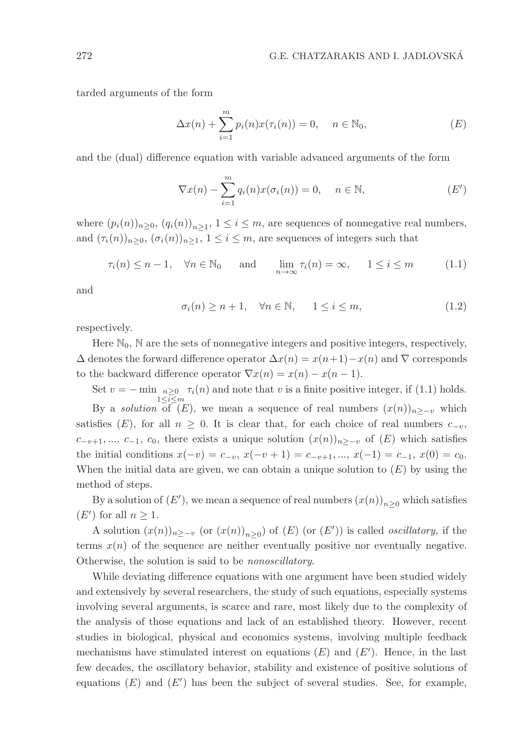tarded arguments of the form

$$
\Delta x(n) + \sum_{i=1}^{m} p_i(n) x(\tau_i(n)) = 0, \quad n \in \mathbb{N}_0,
$$
\n(E)

and the (dual) difference equation with variable advanced arguments of the form

$$
\nabla x(n) - \sum_{i=1}^{m} q_i(n) x(\sigma_i(n)) = 0, \quad n \in \mathbb{N},
$$
 (E')

where  $(p_i(n))_{n \geq 0}$ ,  $(q_i(n))_{n \geq 1}$ ,  $1 \leq i \leq m$ , are sequences of nonnegative real numbers, and  $(\tau_i(n))_{n>0}, (\sigma_i(n))_{n>1}, 1 \leq i \leq m$ , are sequences of integers such that

$$
\tau_i(n) \le n - 1, \quad \forall n \in \mathbb{N}_0 \quad \text{and} \quad \lim_{n \to \infty} \tau_i(n) = \infty, \quad 1 \le i \le m \tag{1.1}
$$

and

$$
\sigma_i(n) \ge n+1, \quad \forall n \in \mathbb{N}, \quad 1 \le i \le m,
$$
\n(1.2)

respectively.

Here  $\mathbb{N}_0$ ,  $\mathbb N$  are the sets of nonnegative integers and positive integers, respectively,  $\Delta$  denotes the forward difference operator  $\Delta x(n) = x(n+1) - x(n)$  and  $\nabla$  corresponds to the backward difference operator  $\nabla x(n) = x(n) - x(n-1)$ .

Set  $v = -\min_{n \geq 0} \tau_i(n)$  and note that v is a finite positive integer, if (1.1) holds.  $1\leq i\leq m$ By a *solution* of  $(E)$ , we mean a sequence of real numbers  $(x(n))_{n>-\nu}$  which satisfies (E), for all  $n \geq 0$ . It is clear that, for each choice of real numbers  $c_{-v}$ ,  $c_{-v+1}, ..., c_{-1}, c_0$ , there exists a unique solution  $(x(n))_{n\geq -v}$  of  $(E)$  which satisfies the initial conditions  $x(-v) = c_{-v}, x(-v+1) = c_{-v+1}, ..., x(-1) = c_{-1}, x(0) = c_0.$ When the initial data are given, we can obtain a unique solution to  $(E)$  by using the method of steps.

By a solution of  $(E')$ , we mean a sequence of real numbers  $(x(n))_{n\geq 0}$  which satisfies  $(E')$  for all  $n \geq 1$ .

A solution  $(x(n))_{n\geq -v}$  (or  $(x(n))_{n\geq 0}$ ) of  $(E)$  (or  $(E')$ ) is called *oscillatory*, if the terms  $x(n)$  of the sequence are neither eventually positive nor eventually negative. Otherwise, the solution is said to be nonoscillatory.

While deviating difference equations with one argument have been studied widely and extensively by several researchers, the study of such equations, especially systems involving several arguments, is scarce and rare, most likely due to the complexity of the analysis of those equations and lack of an established theory. However, recent studies in biological, physical and economics systems, involving multiple feedback mechanisms have stimulated interest on equations  $(E)$  and  $(E')$ . Hence, in the last few decades, the oscillatory behavior, stability and existence of positive solutions of equations  $(E)$  and  $(E')$  has been the subject of several studies. See, for example,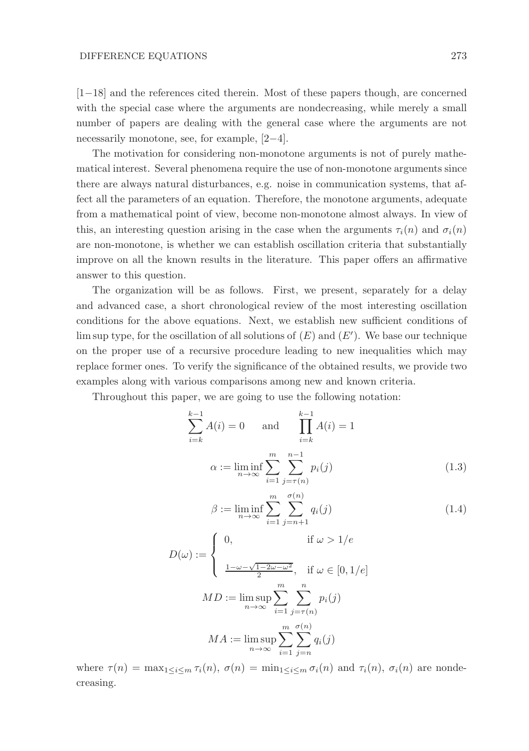[1−18] and the references cited therein. Most of these papers though, are concerned with the special case where the arguments are nondecreasing, while merely a small number of papers are dealing with the general case where the arguments are not necessarily monotone, see, for example, [2−4].

The motivation for considering non-monotone arguments is not of purely mathematical interest. Several phenomena require the use of non-monotone arguments since there are always natural disturbances, e.g. noise in communication systems, that affect all the parameters of an equation. Therefore, the monotone arguments, adequate from a mathematical point of view, become non-monotone almost always. In view of this, an interesting question arising in the case when the arguments  $\tau_i(n)$  and  $\sigma_i(n)$ are non-monotone, is whether we can establish oscillation criteria that substantially improve on all the known results in the literature. This paper offers an affirmative answer to this question.

The organization will be as follows. First, we present, separately for a delay and advanced case, a short chronological review of the most interesting oscillation conditions for the above equations. Next, we establish new sufficient conditions of  $\limsup$  type, for the oscillation of all solutions of  $(E)$  and  $(E')$ . We base our technique on the proper use of a recursive procedure leading to new inequalities which may replace former ones. To verify the significance of the obtained results, we provide two examples along with various comparisons among new and known criteria.

Throughout this paper, we are going to use the following notation:

$$
\sum_{i=k}^{k-1} A(i) = 0 \quad \text{and} \quad \prod_{i=k}^{k-1} A(i) = 1
$$

$$
\alpha := \liminf_{n \to \infty} \sum_{i=1}^{m} \sum_{j=\tau(n)}^{n-1} p_i(j) \tag{1.3}
$$

$$
\beta := \liminf_{n \to \infty} \sum_{i=1}^{m} \sum_{j=n+1}^{\sigma(n)} q_i(j) \tag{1.4}
$$

$$
D(\omega) := \begin{cases} 0, & \text{if } \omega > 1/e \\ \frac{1 - \omega - \sqrt{1 - 2\omega - \omega^2}}{2}, & \text{if } \omega \in [0, 1/e] \end{cases}
$$

$$
MD := \limsup_{n \to \infty} \sum_{i=1}^{m} \sum_{j=\tau(n)}^{n} p_i(j)
$$

$$
MA := \limsup_{n \to \infty} \sum_{i=1}^{m} \sum_{j=n}^{\sigma(n)} q_i(j)
$$

where  $\tau(n) = \max_{1 \leq i \leq m} \tau_i(n)$ ,  $\sigma(n) = \min_{1 \leq i \leq m} \sigma_i(n)$  and  $\tau_i(n)$ ,  $\sigma_i(n)$  are nondecreasing.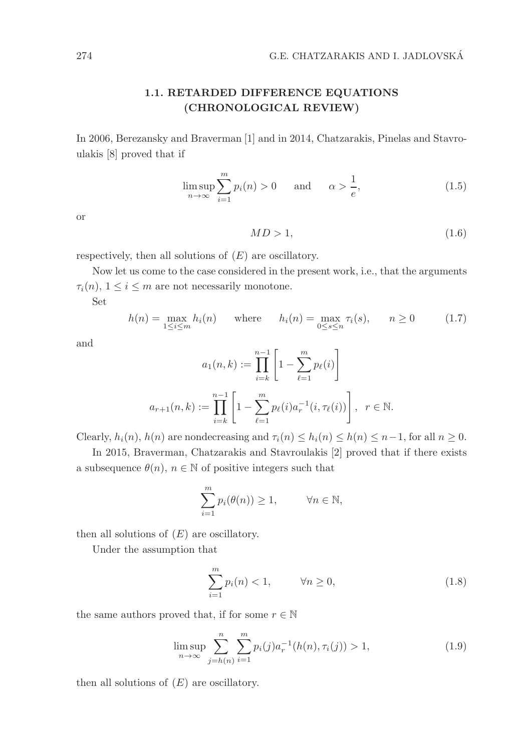# 1.1. RETARDED DIFFERENCE EQUATIONS (CHRONOLOGICAL REVIEW)

In 2006, Berezansky and Braverman [1] and in 2014, Chatzarakis, Pinelas and Stavroulakis [8] proved that if

$$
\limsup_{n \to \infty} \sum_{i=1}^{m} p_i(n) > 0 \quad \text{and} \quad \alpha > \frac{1}{e}, \tag{1.5}
$$

or

$$
MD > 1,\tag{1.6}
$$

respectively, then all solutions of  $(E)$  are oscillatory.

Now let us come to the case considered in the present work, i.e., that the arguments  $\tau_i(n)$ ,  $1 \leq i \leq m$  are not necessarily monotone.

Set

$$
h(n) = \max_{1 \le i \le m} h_i(n) \quad \text{where} \quad h_i(n) = \max_{0 \le s \le n} \tau_i(s), \quad n \ge 0 \tag{1.7}
$$

and

$$
a_1(n,k) := \prod_{i=k}^{n-1} \left[ 1 - \sum_{\ell=1}^m p_\ell(i) \right]
$$

$$
a_{r+1}(n,k) := \prod_{i=k}^{n-1} \left[ 1 - \sum_{\ell=1}^m p_\ell(i) a_r^{-1}(i, \tau_\ell(i)) \right], \ \ r \in \mathbb{N}.
$$

Clearly,  $h_i(n)$ ,  $h(n)$  are nondecreasing and  $\tau_i(n) \leq h_i(n) \leq h(n) \leq n-1$ , for all  $n \geq 0$ .

In 2015, Braverman, Chatzarakis and Stavroulakis [2] proved that if there exists a subsequence  $\theta(n)$ ,  $n \in \mathbb{N}$  of positive integers such that

$$
\sum_{i=1}^{m} p_i(\theta(n)) \ge 1, \qquad \forall n \in \mathbb{N},
$$

then all solutions of  $(E)$  are oscillatory.

Under the assumption that

$$
\sum_{i=1}^{m} p_i(n) < 1, \qquad \forall n \ge 0,\tag{1.8}
$$

the same authors proved that, if for some  $r \in \mathbb{N}$ 

$$
\limsup_{n \to \infty} \sum_{j=h(n)}^{n} \sum_{i=1}^{m} p_i(j) a_r^{-1}(h(n), \tau_i(j)) > 1,
$$
\n(1.9)

then all solutions of  $(E)$  are oscillatory.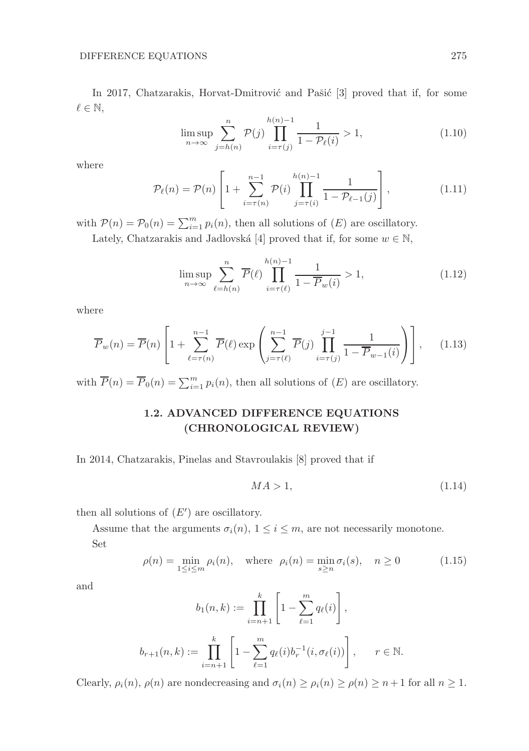In 2017, Chatzarakis, Horvat-Dmitrović and Pašić [3] proved that if, for some  $\ell \in \mathbb{N},$ 

$$
\limsup_{n \to \infty} \sum_{j=h(n)}^{n} \mathcal{P}(j) \prod_{i=\tau(j)}^{h(n)-1} \frac{1}{1 - \mathcal{P}_{\ell}(i)} > 1,
$$
\n(1.10)

where

$$
\mathcal{P}_{\ell}(n) = \mathcal{P}(n) \left[ 1 + \sum_{i=\tau(n)}^{n-1} \mathcal{P}(i) \prod_{j=\tau(i)}^{h(n)-1} \frac{1}{1 - \mathcal{P}_{\ell-1}(j)} \right],
$$
\n(1.11)

with  $P(n) = P_0(n) = \sum_{i=1}^{m} p_i(n)$ , then all solutions of  $(E)$  are oscillatory.

Lately, Chatzarakis and Jadlovská [4] proved that if, for some  $w \in \mathbb{N}$ ,

$$
\limsup_{n \to \infty} \sum_{\ell=h(n)}^{n} \overline{P}(\ell) \prod_{i=\tau(\ell)}^{h(n)-1} \frac{1}{1-\overline{P}_w(i)} > 1,
$$
\n(1.12)

where

$$
\overline{P}_w(n) = \overline{P}(n) \left[ 1 + \sum_{\ell=\tau(n)}^{n-1} \overline{P}(\ell) \exp\left(\sum_{j=\tau(\ell)}^{n-1} \overline{P}(j) \prod_{i=\tau(j)}^{j-1} \frac{1}{1 - \overline{P}_{w-1}(i)}\right) \right], \quad (1.13)
$$

with  $\overline{P}(n) = \overline{P}_0(n) = \sum_{i=1}^m p_i(n)$ , then all solutions of  $(E)$  are oscillatory.

# 1.2. ADVANCED DIFFERENCE EQUATIONS (CHRONOLOGICAL REVIEW)

In 2014, Chatzarakis, Pinelas and Stavroulakis [8] proved that if

$$
MA > 1,\tag{1.14}
$$

then all solutions of  $(E')$  are oscillatory.

Assume that the arguments  $\sigma_i(n)$ ,  $1 \leq i \leq m$ , are not necessarily monotone. Set

$$
\rho(n) = \min_{1 \le i \le m} \rho_i(n), \quad \text{where} \quad \rho_i(n) = \min_{s \ge n} \sigma_i(s), \quad n \ge 0 \tag{1.15}
$$

and

$$
b_1(n,k) := \prod_{i=n+1}^k \left[ 1 - \sum_{\ell=1}^m q_\ell(i) \right],
$$
  

$$
b_{r+1}(n,k) := \prod_{i=n+1}^k \left[ 1 - \sum_{\ell=1}^m q_\ell(i) b_r^{-1}(i, \sigma_\ell(i)) \right], \quad r \in \mathbb{N}.
$$

Clearly,  $\rho_i(n)$ ,  $\rho(n)$  are nondecreasing and  $\sigma_i(n) \geq \rho_i(n) \geq \rho(n) \geq n+1$  for all  $n \geq 1$ .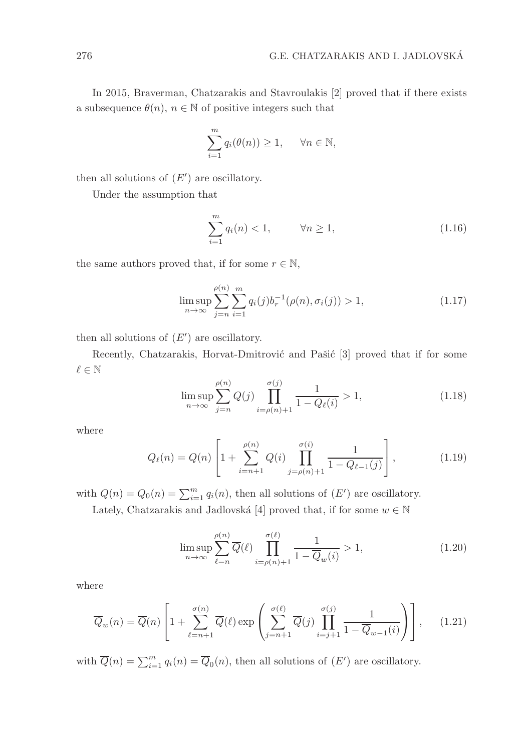In 2015, Braverman, Chatzarakis and Stavroulakis [2] proved that if there exists a subsequence  $\theta(n)$ ,  $n \in \mathbb{N}$  of positive integers such that

$$
\sum_{i=1}^{m} q_i(\theta(n)) \ge 1, \quad \forall n \in \mathbb{N},
$$

then all solutions of  $(E')$  are oscillatory.

Under the assumption that

$$
\sum_{i=1}^{m} q_i(n) < 1, \qquad \forall n \ge 1,\tag{1.16}
$$

the same authors proved that, if for some  $r \in \mathbb{N}$ ,

$$
\limsup_{n \to \infty} \sum_{j=n}^{\rho(n)} \sum_{i=1}^{m} q_i(j) b_r^{-1} (\rho(n), \sigma_i(j)) > 1,
$$
\n(1.17)

then all solutions of  $(E')$  are oscillatory.

Recently, Chatzarakis, Horvat-Dmitrović and Pašić [3] proved that if for some  $\ell \in \mathbb{N}$ 

$$
\limsup_{n \to \infty} \sum_{j=n}^{\rho(n)} Q(j) \prod_{i=\rho(n)+1}^{\sigma(j)} \frac{1}{1 - Q_{\ell}(i)} > 1,
$$
\n(1.18)

where

$$
Q_{\ell}(n) = Q(n) \left[ 1 + \sum_{i=n+1}^{\rho(n)} Q(i) \prod_{j=\rho(n)+1}^{\sigma(i)} \frac{1}{1 - Q_{\ell-1}(j)} \right],
$$
 (1.19)

with  $Q(n) = Q_0(n) = \sum_{i=1}^{m} q_i(n)$ , then all solutions of  $(E')$  are oscillatory.

Lately, Chatzarakis and Jadlovská [4] proved that, if for some  $w \in \mathbb{N}$ 

$$
\limsup_{n \to \infty} \sum_{\ell=n}^{\rho(n)} \overline{Q}(\ell) \prod_{i=\rho(n)+1}^{\sigma(\ell)} \frac{1}{1 - \overline{Q}_w(i)} > 1,
$$
\n(1.20)

where

$$
\overline{Q}_w(n) = \overline{Q}(n) \left[ 1 + \sum_{\ell=n+1}^{\sigma(n)} \overline{Q}(\ell) \exp\left( \sum_{j=n+1}^{\sigma(\ell)} \overline{Q}(j) \prod_{i=j+1}^{\sigma(j)} \frac{1}{1 - \overline{Q}_{w-1}(i)} \right) \right], \quad (1.21)
$$

with  $\overline{Q}(n) = \sum_{i=1}^{m} q_i(n) = \overline{Q}_0(n)$ , then all solutions of  $(E')$  are oscillatory.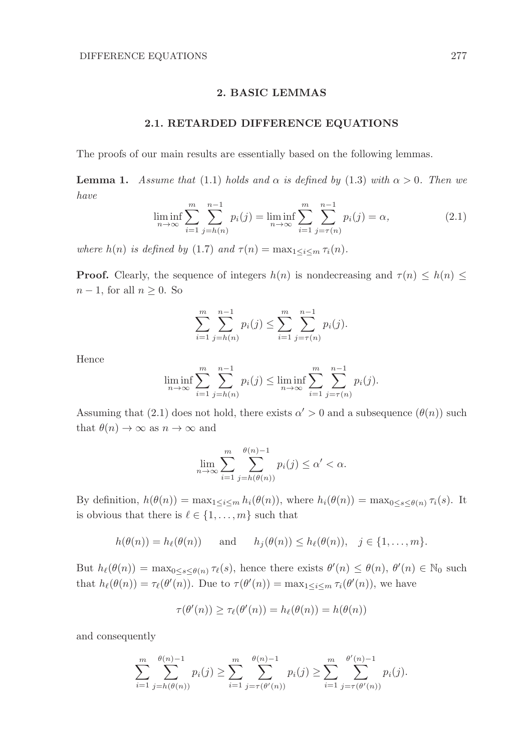### 2. BASIC LEMMAS

### 2.1. RETARDED DIFFERENCE EQUATIONS

The proofs of our main results are essentially based on the following lemmas.

**Lemma 1.** Assume that (1.1) holds and  $\alpha$  is defined by (1.3) with  $\alpha > 0$ . Then we have

$$
\liminf_{n \to \infty} \sum_{i=1}^{m} \sum_{j=h(n)}^{n-1} p_i(j) = \liminf_{n \to \infty} \sum_{i=1}^{m} \sum_{j=\tau(n)}^{n-1} p_i(j) = \alpha,
$$
\n(2.1)

where  $h(n)$  is defined by (1.7) and  $\tau(n) = \max_{1 \leq i \leq m} \tau_i(n)$ .

**Proof.** Clearly, the sequence of integers  $h(n)$  is nondecreasing and  $\tau(n) \leq h(n) \leq$  $n-1$ , for all  $n \geq 0$ . So

$$
\sum_{i=1}^{m} \sum_{j=h(n)}^{n-1} p_i(j) \le \sum_{i=1}^{m} \sum_{j=\tau(n)}^{n-1} p_i(j).
$$

Hence

$$
\liminf_{n \to \infty} \sum_{i=1}^{m} \sum_{j=h(n)}^{n-1} p_i(j) \le \liminf_{n \to \infty} \sum_{i=1}^{m} \sum_{j=\tau(n)}^{n-1} p_i(j).
$$

Assuming that (2.1) does not hold, there exists  $\alpha' > 0$  and a subsequence  $(\theta(n))$  such that  $\theta(n) \to \infty$  as  $n \to \infty$  and

$$
\lim_{n \to \infty} \sum_{i=1}^{m} \sum_{j=h(\theta(n))}^{\theta(n)-1} p_i(j) \le \alpha' < \alpha.
$$

By definition,  $h(\theta(n)) = \max_{1 \leq i \leq m} h_i(\theta(n))$ , where  $h_i(\theta(n)) = \max_{0 \leq s \leq \theta(n)} \tau_i(s)$ . It is obvious that there is  $\ell \in \{1, \ldots, m\}$  such that

 $h(\theta(n)) = h_{\ell}(\theta(n))$  and  $h_j(\theta(n)) \leq h_{\ell}(\theta(n)), \quad j \in \{1, ..., m\}.$ 

But  $h_{\ell}(\theta(n)) = \max_{0 \le s \le \theta(n)} \tau_{\ell}(s)$ , hence there exists  $\theta'(n) \le \theta(n)$ ,  $\theta'(n) \in \mathbb{N}_0$  such that  $h_{\ell}(\theta(n)) = \tau_{\ell}(\theta'(n))$ . Due to  $\tau(\theta'(n)) = \max_{1 \leq i \leq m} \tau_i(\theta'(n))$ , we have

$$
\tau(\theta'(n)) \ge \tau_{\ell}(\theta'(n)) = h_{\ell}(\theta(n)) = h(\theta(n))
$$

and consequently

$$
\sum_{i=1}^m \sum_{j=h(\theta(n))}^{\theta(n)-1} p_i(j) \ge \sum_{i=1}^m \sum_{j=\tau(\theta'(n))}^{\theta(n)-1} p_i(j) \ge \sum_{i=1}^m \sum_{j=\tau(\theta'(n))}^{\theta'(n)-1} p_i(j).
$$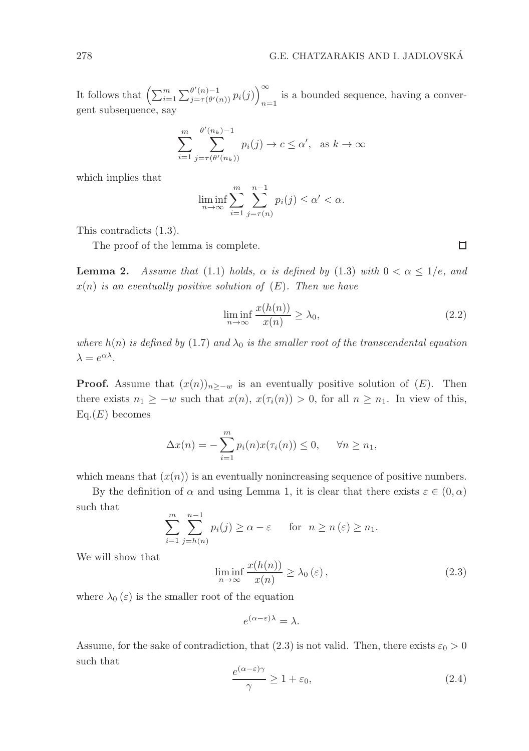It follows that  $\left(\sum_{i=1}^m \sum_{j=\tau(\theta'(n))}^{\theta'(n)-1} p_i(j)\right)_{n=\tau(\theta'(n))}^{\infty}$ is a bounded sequence, having a convergent subsequence, say

$$
\sum_{i=1}^{m} \sum_{j=\tau(\theta'(n_k))}^{\theta'(n_k)-1} p_i(j) \to c \le \alpha', \text{ as } k \to \infty
$$

which implies that

$$
\liminf_{n \to \infty} \sum_{i=1}^{m} \sum_{j=\tau(n)}^{n-1} p_i(j) \le \alpha' < \alpha.
$$

This contradicts (1.3).

The proof of the lemma is complete.

**Lemma 2.** Assume that (1.1) holds,  $\alpha$  is defined by (1.3) with  $0 < \alpha \leq 1/e$ , and  $x(n)$  is an eventually positive solution of  $(E)$ . Then we have

$$
\liminf_{n \to \infty} \frac{x(h(n))}{x(n)} \ge \lambda_0,\tag{2.2}
$$

where  $h(n)$  is defined by (1.7) and  $\lambda_0$  is the smaller root of the transcendental equation  $\lambda = e^{\alpha \lambda}$ .

**Proof.** Assume that  $(x(n))_{n>-\omega}$  is an eventually positive solution of  $(E)$ . Then there exists  $n_1 \geq -w$  such that  $x(n), x(\tau_i(n)) > 0$ , for all  $n \geq n_1$ . In view of this,  $Eq.(E)$  becomes

$$
\Delta x(n) = -\sum_{i=1}^{m} p_i(n) x(\tau_i(n)) \le 0, \quad \forall n \ge n_1,
$$

which means that  $(x(n))$  is an eventually nonincreasing sequence of positive numbers.

By the definition of  $\alpha$  and using Lemma 1, it is clear that there exists  $\varepsilon \in (0, \alpha)$ such that

$$
\sum_{i=1}^{m} \sum_{j=h(n)}^{n-1} p_i(j) \ge \alpha - \varepsilon \quad \text{for} \quad n \ge n(\varepsilon) \ge n_1.
$$

We will show that

$$
\liminf_{n \to \infty} \frac{x(h(n))}{x(n)} \ge \lambda_0(\varepsilon),\tag{2.3}
$$

where  $\lambda_0(\varepsilon)$  is the smaller root of the equation

$$
e^{(\alpha-\varepsilon)\lambda}=\lambda.
$$

Assume, for the sake of contradiction, that (2.3) is not valid. Then, there exists  $\varepsilon_0 > 0$ such that

$$
\frac{e^{(\alpha-\varepsilon)\gamma}}{\gamma} \ge 1 + \varepsilon_0,\tag{2.4}
$$

 $\Box$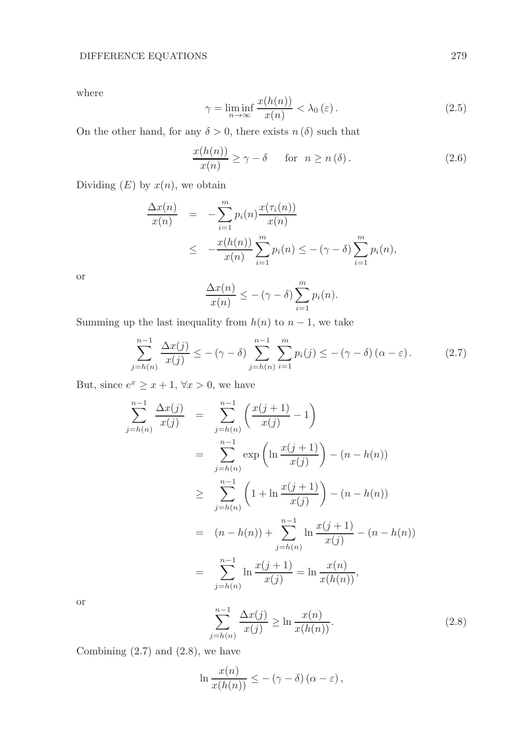where

$$
\gamma = \liminf_{n \to \infty} \frac{x(h(n))}{x(n)} < \lambda_0 \left( \varepsilon \right). \tag{2.5}
$$

On the other hand, for any  $\delta > 0$ , there exists  $n(\delta)$  such that

$$
\frac{x(h(n))}{x(n)} \ge \gamma - \delta \quad \text{for} \quad n \ge n(\delta). \tag{2.6}
$$

Dividing  $(E)$  by  $x(n)$ , we obtain

$$
\frac{\Delta x(n)}{x(n)} = -\sum_{i=1}^{m} p_i(n) \frac{x(\tau_i(n))}{x(n)}
$$
\n
$$
\leq -\frac{x(h(n))}{x(n)} \sum_{i=1}^{m} p_i(n) \leq -(\gamma - \delta) \sum_{i=1}^{m} p_i(n),
$$

or

$$
\frac{\Delta x(n)}{x(n)} \leq -(\gamma - \delta) \sum_{i=1}^{m} p_i(n).
$$

Summing up the last inequality from  $h(n)$  to  $n-1$ , we take

$$
\sum_{j=h(n)}^{n-1} \frac{\Delta x(j)}{x(j)} \le -(\gamma - \delta) \sum_{j=h(n)}^{n-1} \sum_{i=1}^{m} p_i(j) \le -(\gamma - \delta) (\alpha - \varepsilon).
$$
 (2.7)

But, since  $e^x \geq x+1$ ,  $\forall x > 0$ , we have

$$
\sum_{j=h(n)}^{n-1} \frac{\Delta x(j)}{x(j)} = \sum_{j=h(n)}^{n-1} \left( \frac{x(j+1)}{x(j)} - 1 \right)
$$
  
= 
$$
\sum_{j=h(n)}^{n-1} \exp \left( \ln \frac{x(j+1)}{x(j)} \right) - (n - h(n))
$$
  

$$
\geq \sum_{j=h(n)}^{n-1} \left( 1 + \ln \frac{x(j+1)}{x(j)} \right) - (n - h(n))
$$
  
= 
$$
(n - h(n)) + \sum_{j=h(n)}^{n-1} \ln \frac{x(j+1)}{x(j)} - (n - h(n))
$$
  
= 
$$
\sum_{j=h(n)}^{n-1} \ln \frac{x(j+1)}{x(j)} = \ln \frac{x(n)}{x(h(n))},
$$

or

$$
\sum_{j=h(n)}^{n-1} \frac{\Delta x(j)}{x(j)} \ge \ln \frac{x(n)}{x(h(n))}.
$$
 (2.8)

Combining  $(2.7)$  and  $(2.8)$ , we have

$$
\ln \frac{x(n)}{x(h(n))} \leq -(\gamma - \delta) (\alpha - \varepsilon),
$$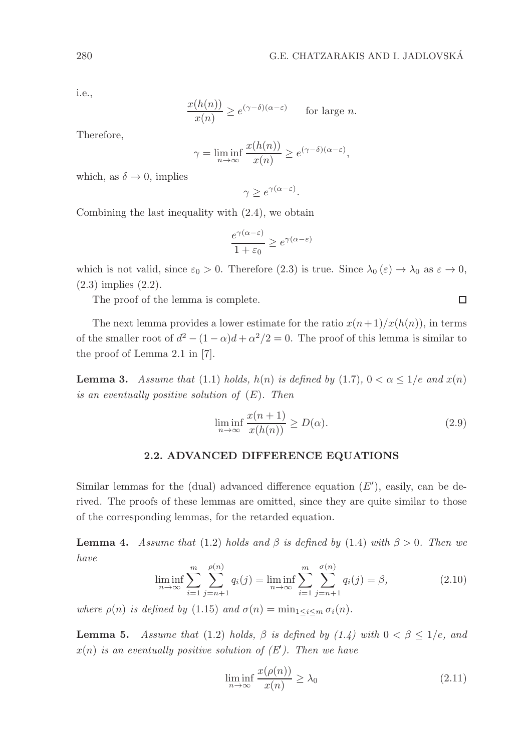i.e.,

$$
\frac{x(h(n))}{x(n)} \ge e^{(\gamma - \delta)(\alpha - \varepsilon)} \quad \text{for large } n.
$$

Therefore,

$$
\gamma = \liminf_{n \to \infty} \frac{x(h(n))}{x(n)} \ge e^{(\gamma - \delta)(\alpha - \varepsilon)},
$$

which, as  $\delta \to 0$ , implies

 $\gamma \geq e^{\gamma(\alpha-\varepsilon)}.$ 

Combining the last inequality with (2.4), we obtain

$$
\frac{e^{\gamma(\alpha-\varepsilon)}}{1+\varepsilon_0} \ge e^{\gamma(\alpha-\varepsilon)}
$$

which is not valid, since  $\varepsilon_0 > 0$ . Therefore  $(2.3)$  is true. Since  $\lambda_0(\varepsilon) \to \lambda_0$  as  $\varepsilon \to 0$ , (2.3) implies (2.2).

The proof of the lemma is complete.

The next lemma provides a lower estimate for the ratio  $x(n+1)/x(h(n))$ , in terms of the smaller root of  $d^2 - (1 - \alpha)d + \alpha^2/2 = 0$ . The proof of this lemma is similar to the proof of Lemma 2.1 in [7].

**Lemma 3.** Assume that (1.1) holds,  $h(n)$  is defined by (1.7),  $0 < \alpha \leq 1/e$  and  $x(n)$ is an eventually positive solution of  $(E)$ . Then

$$
\liminf_{n \to \infty} \frac{x(n+1)}{x(h(n))} \ge D(\alpha). \tag{2.9}
$$

# 2.2. ADVANCED DIFFERENCE EQUATIONS

Similar lemmas for the (dual) advanced difference equation  $(E')$ , easily, can be derived. The proofs of these lemmas are omitted, since they are quite similar to those of the corresponding lemmas, for the retarded equation.

**Lemma 4.** Assume that (1.2) holds and  $\beta$  is defined by (1.4) with  $\beta > 0$ . Then we have

$$
\liminf_{n \to \infty} \sum_{i=1}^{m} \sum_{j=n+1}^{\rho(n)} q_i(j) = \liminf_{n \to \infty} \sum_{i=1}^{m} \sum_{j=n+1}^{\sigma(n)} q_i(j) = \beta,
$$
\n(2.10)

where  $\rho(n)$  is defined by (1.15) and  $\sigma(n) = \min_{1 \leq i \leq m} \sigma_i(n)$ .

**Lemma 5.** Assume that (1.2) holds,  $\beta$  is defined by (1.4) with  $0 < \beta \leq 1/e$ , and  $x(n)$  is an eventually positive solution of  $(E')$ . Then we have

$$
\liminf_{n \to \infty} \frac{x(\rho(n))}{x(n)} \ge \lambda_0 \tag{2.11}
$$

 $\Box$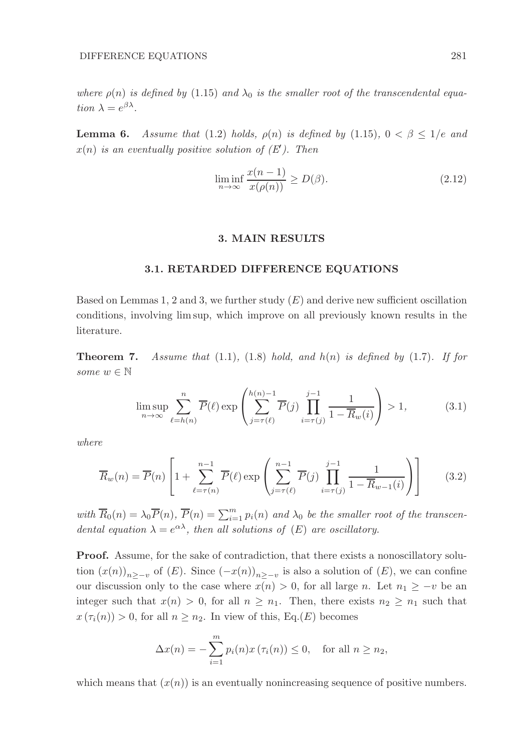where  $\rho(n)$  is defined by (1.15) and  $\lambda_0$  is the smaller root of the transcendental equation  $\lambda = e^{\beta \lambda}$ .

**Lemma 6.** Assume that (1.2) holds,  $\rho(n)$  is defined by (1.15),  $0 < \beta \leq 1/e$  and  $x(n)$  is an eventually positive solution of  $(E')$ . Then

$$
\liminf_{n \to \infty} \frac{x(n-1)}{x(\rho(n))} \ge D(\beta). \tag{2.12}
$$

#### 3. MAIN RESULTS

#### 3.1. RETARDED DIFFERENCE EQUATIONS

Based on Lemmas 1, 2 and 3, we further study  $(E)$  and derive new sufficient oscillation conditions, involving lim sup, which improve on all previously known results in the literature.

**Theorem 7.** Assume that  $(1.1)$ ,  $(1.8)$  hold, and  $h(n)$  is defined by  $(1.7)$ . If for some  $w \in \mathbb{N}$ 

$$
\limsup_{n \to \infty} \sum_{\ell=h(n)}^{n} \overline{P}(\ell) \exp\left(\sum_{j=\tau(\ell)}^{h(n)-1} \overline{P}(j) \prod_{i=\tau(j)}^{j-1} \frac{1}{1-\overline{R}_w(i)}\right) > 1,
$$
\n(3.1)

where

$$
\overline{R}_w(n) = \overline{P}(n) \left[ 1 + \sum_{\ell=\tau(n)}^{n-1} \overline{P}(\ell) \exp\left( \sum_{j=\tau(\ell)}^{n-1} \overline{P}(j) \prod_{i=\tau(j)}^{j-1} \frac{1}{1 - \overline{R}_{w-1}(i)} \right) \right]
$$
(3.2)

with  $\overline{R}_0(n) = \lambda_0 \overline{P}(n)$ ,  $\overline{P}(n) = \sum_{i=1}^m p_i(n)$  and  $\lambda_0$  be the smaller root of the transcendental equation  $\lambda = e^{\alpha \lambda}$ , then all solutions of  $(E)$  are oscillatory.

Proof. Assume, for the sake of contradiction, that there exists a nonoscillatory solution  $(x(n))_{n \geq -v}$  of  $(E)$ . Since  $(-x(n))_{n \geq -v}$  is also a solution of  $(E)$ , we can confine our discussion only to the case where  $x(n) > 0$ , for all large n. Let  $n_1 \geq -v$  be an integer such that  $x(n) > 0$ , for all  $n \geq n_1$ . Then, there exists  $n_2 \geq n_1$  such that  $x(\tau_i(n)) > 0$ , for all  $n \geq n_2$ . In view of this, Eq.(E) becomes

$$
\Delta x(n) = -\sum_{i=1}^{m} p_i(n) x(\tau_i(n)) \le 0, \text{ for all } n \ge n_2,
$$

which means that  $(x(n))$  is an eventually nonincreasing sequence of positive numbers.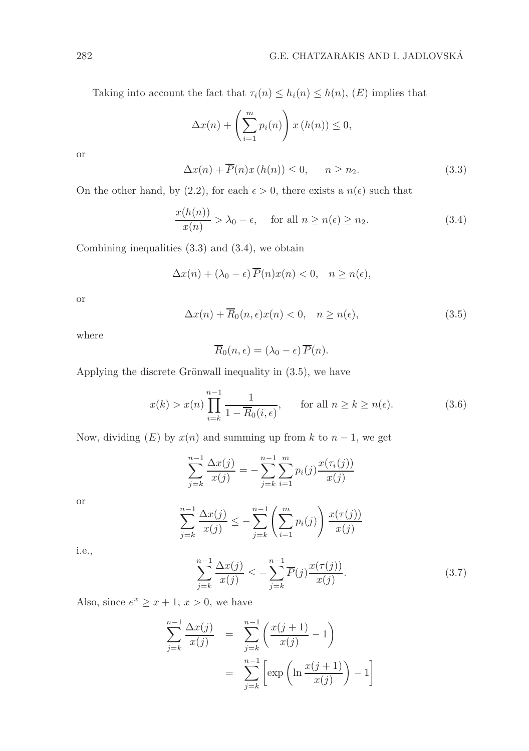Taking into account the fact that  $\tau_i(n) \leq h_i(n) \leq h(n)$ ,  $(E)$  implies that

$$
\Delta x(n) + \left(\sum_{i=1}^{m} p_i(n)\right) x(h(n)) \le 0,
$$

or

$$
\Delta x(n) + \overline{P}(n)x(h(n)) \le 0, \qquad n \ge n_2. \tag{3.3}
$$

On the other hand, by (2.2), for each  $\epsilon > 0$ , there exists a  $n(\epsilon)$  such that

$$
\frac{x(h(n))}{x(n)} > \lambda_0 - \epsilon, \quad \text{for all } n \ge n(\epsilon) \ge n_2.
$$
 (3.4)

Combining inequalities (3.3) and (3.4), we obtain

$$
\Delta x(n) + (\lambda_0 - \epsilon) \overline{P}(n) x(n) < 0, \quad n \ge n(\epsilon),
$$

or

$$
\Delta x(n) + \overline{R}_0(n, \epsilon) x(n) < 0, \quad n \ge n(\epsilon), \tag{3.5}
$$

where

$$
\overline{R}_0(n,\epsilon) = (\lambda_0 - \epsilon) \overline{P}(n).
$$

Applying the discrete Grönwall inequality in  $(3.5)$ , we have

$$
x(k) > x(n) \prod_{i=k}^{n-1} \frac{1}{1 - \overline{R}_0(i, \epsilon)}, \quad \text{for all } n \ge k \ge n(\epsilon). \tag{3.6}
$$

Now, dividing  $(E)$  by  $x(n)$  and summing up from k to  $n-1$ , we get

$$
\sum_{j=k}^{n-1} \frac{\Delta x(j)}{x(j)} = -\sum_{j=k}^{n-1} \sum_{i=1}^{m} p_i(j) \frac{x(\tau_i(j))}{x(j)}
$$

or

$$
\sum_{j=k}^{n-1} \frac{\Delta x(j)}{x(j)} \le -\sum_{j=k}^{n-1} \left( \sum_{i=1}^{m} p_i(j) \right) \frac{x(\tau(j))}{x(j)}
$$

i.e.,

$$
\sum_{j=k}^{n-1} \frac{\Delta x(j)}{x(j)} \le -\sum_{j=k}^{n-1} \overline{P}(j) \frac{x(\tau(j))}{x(j)}.
$$
 (3.7)

Also, since  $e^x \geq x+1$ ,  $x > 0$ , we have

$$
\sum_{j=k}^{n-1} \frac{\Delta x(j)}{x(j)} = \sum_{j=k}^{n-1} \left( \frac{x(j+1)}{x(j)} - 1 \right)
$$
  
= 
$$
\sum_{j=k}^{n-1} \left[ \exp \left( \ln \frac{x(j+1)}{x(j)} \right) - 1 \right]
$$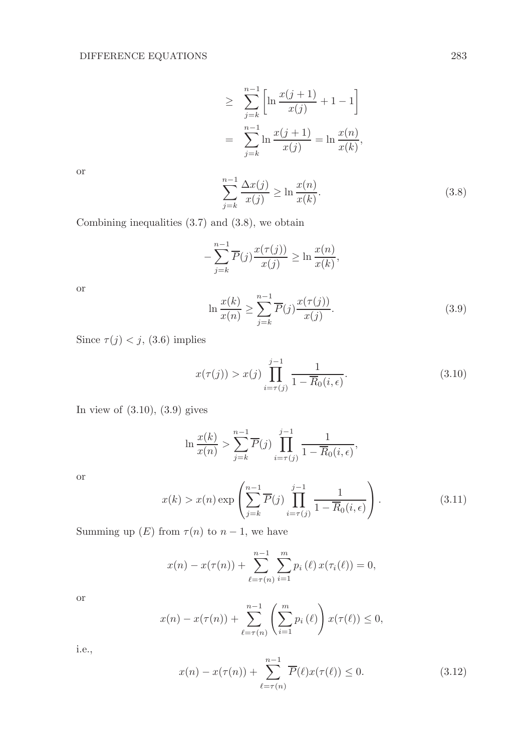$$
\geq \sum_{j=k}^{n-1} \left[ \ln \frac{x(j+1)}{x(j)} + 1 - 1 \right]
$$
  
= 
$$
\sum_{j=k}^{n-1} \ln \frac{x(j+1)}{x(j)} = \ln \frac{x(n)}{x(k)},
$$

or

$$
\sum_{j=k}^{n-1} \frac{\Delta x(j)}{x(j)} \ge \ln \frac{x(n)}{x(k)}.\tag{3.8}
$$

Combining inequalities (3.7) and (3.8), we obtain

$$
-\sum_{j=k}^{n-1} \overline{P}(j) \frac{x(\tau(j))}{x(j)} \ge \ln \frac{x(n)}{x(k)},
$$

or

$$
\ln \frac{x(k)}{x(n)} \ge \sum_{j=k}^{n-1} \overline{P}(j) \frac{x(\tau(j))}{x(j)}.
$$
\n(3.9)

Since  $\tau(j) < j$ , (3.6) implies

$$
x(\tau(j)) > x(j) \prod_{i=\tau(j)}^{j-1} \frac{1}{1 - \overline{R}_0(i, \epsilon)}.
$$
 (3.10)

In view of  $(3.10)$ ,  $(3.9)$  gives

$$
\ln \frac{x(k)}{x(n)} > \sum_{j=k}^{n-1} \overline{P}(j) \prod_{i=\tau(j)}^{j-1} \frac{1}{1 - \overline{R}_0(i, \epsilon)},
$$

or

$$
x(k) > x(n) \exp\left(\sum_{j=k}^{n-1} \overline{P}(j) \prod_{i=\tau(j)}^{j-1} \frac{1}{1 - \overline{R}_0(i, \epsilon)}\right).
$$
 (3.11)

Summing up  $(E)$  from  $\tau(n)$  to  $n-1$ , we have

$$
x(n) - x(\tau(n)) + \sum_{\ell=\tau(n)}^{n-1} \sum_{i=1}^{m} p_i(\ell) x(\tau_i(\ell)) = 0,
$$

or

$$
x(n) - x(\tau(n)) + \sum_{\ell=\tau(n)}^{n-1} \left( \sum_{i=1}^{m} p_i(\ell) \right) x(\tau(\ell)) \le 0,
$$

i.e.,

$$
x(n) - x(\tau(n)) + \sum_{\ell=\tau(n)}^{n-1} \overline{P}(\ell)x(\tau(\ell)) \le 0.
$$
 (3.12)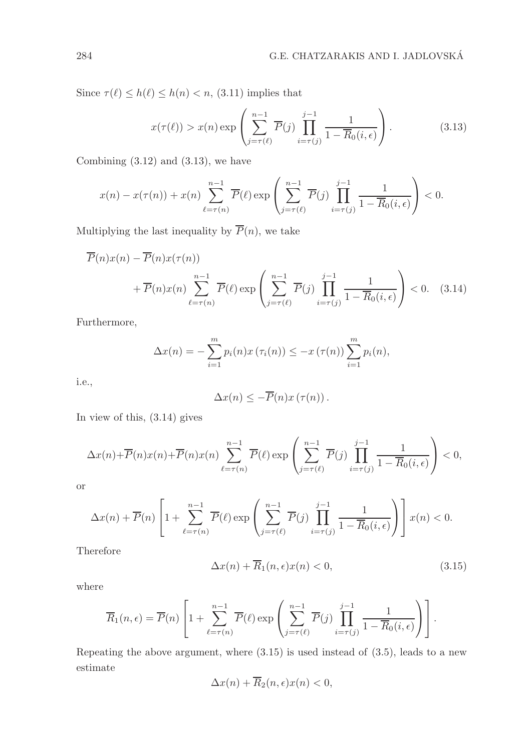Since  $\tau(\ell) \leq h(\ell) \leq h(n) < n$ , (3.11) implies that

$$
x(\tau(\ell)) > x(n) \exp\left(\sum_{j=\tau(\ell)}^{n-1} \overline{P}(j) \prod_{i=\tau(j)}^{j-1} \frac{1}{1 - \overline{R}_0(i, \epsilon)}\right).
$$
 (3.13)

Combining  $(3.12)$  and  $(3.13)$ , we have

$$
x(n) - x(\tau(n)) + x(n) \sum_{\ell=\tau(n)}^{n-1} \overline{P}(\ell) \exp\left(\sum_{j=\tau(\ell)}^{n-1} \overline{P}(j) \prod_{i=\tau(j)}^{j-1} \frac{1}{1 - \overline{R}_0(i, \epsilon)}\right) < 0.
$$

Multiplying the last inequality by  $\overline{P}(n)$ , we take

$$
\overline{P}(n)x(n) - \overline{P}(n)x(\tau(n))
$$
  
+ 
$$
\overline{P}(n)x(n) \sum_{\ell=\tau(n)}^{n-1} \overline{P}(\ell) \exp\left(\sum_{j=\tau(\ell)}^{n-1} \overline{P}(j) \prod_{i=\tau(j)}^{j-1} \frac{1}{1 - \overline{R}_0(i,\epsilon)}\right) < 0. \quad (3.14)
$$

Furthermore,

$$
\Delta x(n) = -\sum_{i=1}^{m} p_i(n) x(\tau_i(n)) \leq -x(\tau(n)) \sum_{i=1}^{m} p_i(n),
$$

i.e.,

$$
\Delta x(n) \leq -\overline{P}(n)x(\tau(n)).
$$

In view of this, (3.14) gives

$$
\Delta x(n) + \overline{P}(n)x(n) + \overline{P}(n)x(n) \sum_{\ell=\tau(n)}^{n-1} \overline{P}(\ell) \exp\left(\sum_{j=\tau(\ell)}^{n-1} \overline{P}(j) \prod_{i=\tau(j)}^{j-1} \frac{1}{1 - \overline{R}_0(i, \epsilon)}\right) < 0,
$$

or

$$
\Delta x(n) + \overline{P}(n) \left[ 1 + \sum_{\ell=\tau(n)}^{n-1} \overline{P}(\ell) \exp \left( \sum_{j=\tau(\ell)}^{n-1} \overline{P}(j) \prod_{i=\tau(j)}^{j-1} \frac{1}{1 - \overline{R}_0(i, \epsilon)} \right) \right] x(n) < 0.
$$

Therefore

$$
\Delta x(n) + \overline{R}_1(n, \epsilon) x(n) < 0,\tag{3.15}
$$

where

$$
\overline{R}_1(n,\epsilon) = \overline{P}(n) \left[ 1 + \sum_{\ell=\tau(n)}^{n-1} \overline{P}(\ell) \exp \left( \sum_{j=\tau(\ell)}^{n-1} \overline{P}(j) \prod_{i=\tau(j)}^{j-1} \frac{1}{1 - \overline{R}_0(i,\epsilon)} \right) \right].
$$

Repeating the above argument, where (3.15) is used instead of (3.5), leads to a new estimate

$$
\Delta x(n) + \overline{R}_2(n, \epsilon) x(n) < 0,
$$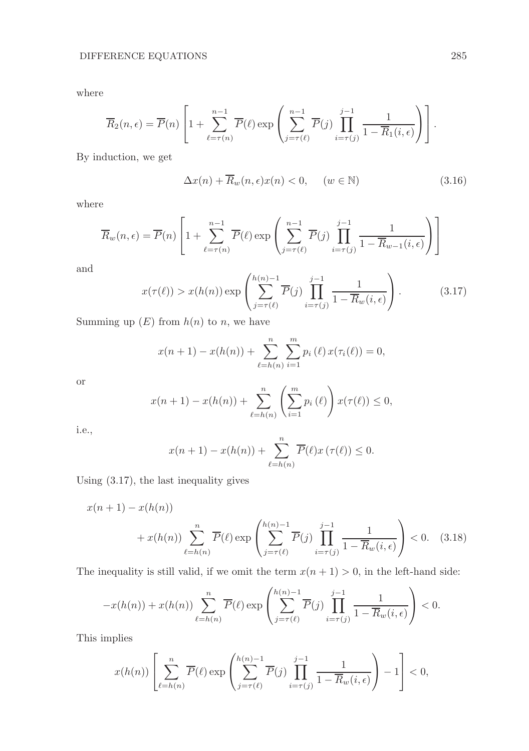where

$$
\overline{R}_2(n,\epsilon) = \overline{P}(n) \left[ 1 + \sum_{\ell=\tau(n)}^{n-1} \overline{P}(\ell) \exp \left( \sum_{j=\tau(\ell)}^{n-1} \overline{P}(j) \prod_{i=\tau(j)}^{j-1} \frac{1}{1 - \overline{R}_1(i,\epsilon)} \right) \right].
$$

By induction, we get

$$
\Delta x(n) + \overline{R}_w(n, \epsilon) x(n) < 0, \quad (w \in \mathbb{N}) \tag{3.16}
$$

where

$$
\overline{R}_{w}(n,\epsilon) = \overline{P}(n) \left[ 1 + \sum_{\ell=\tau(n)}^{n-1} \overline{P}(\ell) \exp \left( \sum_{j=\tau(\ell)}^{n-1} \overline{P}(j) \prod_{i=\tau(j)}^{j-1} \frac{1}{1 - \overline{R}_{w-1}(i,\epsilon)} \right) \right]
$$

and

$$
x(\tau(\ell)) > x(h(n)) \exp\left(\sum_{j=\tau(\ell)}^{h(n)-1} \overline{P}(j) \prod_{i=\tau(j)}^{j-1} \frac{1}{1 - \overline{R}_w(i,\epsilon)}\right).
$$
(3.17)

Summing up  $(E)$  from  $h(n)$  to n, we have

$$
x(n + 1) - x(h(n)) + \sum_{\ell=h(n)}^{n} \sum_{i=1}^{m} p_i(\ell) x(\tau_i(\ell)) = 0,
$$

or

$$
x(n + 1) - x(h(n)) + \sum_{\ell=h(n)}^{n} \left( \sum_{i=1}^{m} p_i(\ell) \right) x(\tau(\ell)) \le 0,
$$

i.e.,

$$
x(n + 1) - x(h(n)) + \sum_{\ell=h(n)}^{n} \overline{P}(\ell) x(\tau(\ell)) \leq 0.
$$

Using (3.17), the last inequality gives

$$
x(n+1) - x(h(n))
$$
  
+ 
$$
x(h(n)) \sum_{\ell=h(n)}^{n} \overline{P}(\ell) \exp\left(\sum_{j=\tau(\ell)}^{h(n)-1} \overline{P}(j) \prod_{i=\tau(j)}^{j-1} \frac{1}{1 - \overline{R}_w(i,\epsilon)}\right) < 0. \quad (3.18)
$$

The inequality is still valid, if we omit the term  $x(n + 1) > 0$ , in the left-hand side:

$$
-x(h(n)) + x(h(n)) \sum_{\ell=h(n)}^{n} \overline{P}(\ell) \exp\left(\sum_{j=\tau(\ell)}^{h(n)-1} \overline{P}(j) \prod_{i=\tau(j)}^{j-1} \frac{1}{1 - \overline{R}_w(i,\epsilon)}\right) < 0.
$$

This implies

$$
x(h(n))\left[\sum_{\ell=h(n)}^{n} \overline{P}(\ell) \exp\left(\sum_{j=\tau(\ell)}^{h(n)-1} \overline{P}(j) \prod_{i=\tau(j)}^{j-1} \frac{1}{1-\overline{R}_{w}(i,\epsilon)}\right)-1\right] < 0,
$$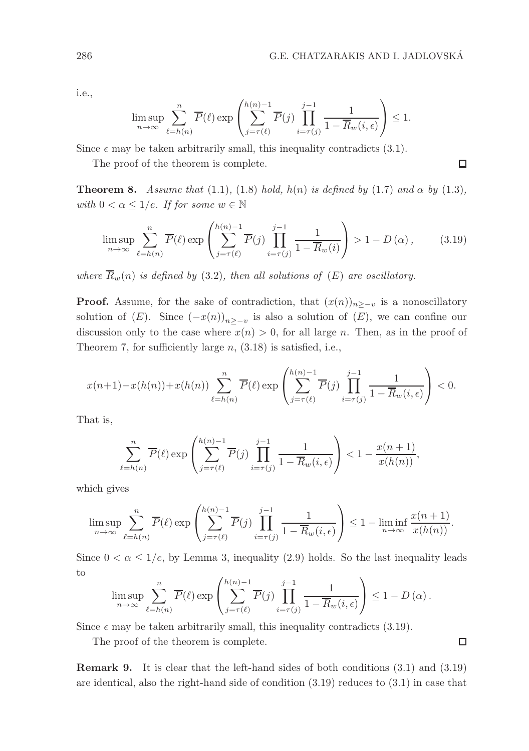i.e.,

$$
\limsup_{n \to \infty} \sum_{\ell=h(n)}^{n} \overline{P}(\ell) \exp\left(\sum_{j=\tau(\ell)}^{h(n)-1} \overline{P}(j) \prod_{i=\tau(j)}^{j-1} \frac{1}{1-\overline{R}_w(i,\epsilon)}\right) \le 1.
$$

Since  $\epsilon$  may be taken arbitrarily small, this inequality contradicts (3.1).

The proof of the theorem is complete.

**Theorem 8.** Assume that (1.1), (1.8) hold, h(n) is defined by (1.7) and  $\alpha$  by (1.3), with  $0 < \alpha \leq 1/e$ . If for some  $w \in \mathbb{N}$ 

$$
\limsup_{n \to \infty} \sum_{\ell=h(n)}^{n} \overline{P}(\ell) \exp\left(\sum_{j=\tau(\ell)}^{h(n)-1} \overline{P}(j) \prod_{i=\tau(j)}^{j-1} \frac{1}{1-\overline{R}_w(i)}\right) > 1 - D(\alpha), \quad (3.19)
$$

where  $\overline{R}_w(n)$  is defined by (3.2), then all solutions of  $(E)$  are oscillatory.

**Proof.** Assume, for the sake of contradiction, that  $(x(n))_{n>-v}$  is a nonoscillatory solution of  $(E)$ . Since  $(-x(n))_{n \geq -v}$  is also a solution of  $(E)$ , we can confine our discussion only to the case where  $x(n) > 0$ , for all large n. Then, as in the proof of Theorem 7, for sufficiently large  $n$ ,  $(3.18)$  is satisfied, i.e.,

$$
x(n+1) - x(h(n)) + x(h(n)) \sum_{\ell=h(n)}^{n} \overline{P}(\ell) \exp\left(\sum_{j=\tau(\ell)}^{h(n)-1} \overline{P}(j) \prod_{i=\tau(j)}^{j-1} \frac{1}{1 - \overline{R}_w(i,\epsilon)}\right) < 0.
$$

That is,

$$
\sum_{\ell=h(n)}^n \overline{P}(\ell) \exp\left(\sum_{j=\tau(\ell)}^{h(n)-1} \overline{P}(j) \prod_{i=\tau(j)}^{j-1} \frac{1}{1-\overline{R}_w(i,\epsilon)}\right) < 1 - \frac{x(n+1)}{x(h(n))},
$$

which gives

$$
\limsup_{n \to \infty} \sum_{\ell=h(n)}^{n} \overline{P}(\ell) \exp\left(\sum_{j=\tau(\ell)}^{h(n)-1} \overline{P}(j) \prod_{i=\tau(j)}^{j-1} \frac{1}{1-\overline{R}_w(i,\epsilon)}\right) \le 1 - \liminf_{n \to \infty} \frac{x(n+1)}{x(h(n))}.
$$

Since  $0 < \alpha \leq 1/e$ , by Lemma 3, inequality (2.9) holds. So the last inequality leads to

$$
\limsup_{n \to \infty} \sum_{\ell=h(n)}^{n} \overline{P}(\ell) \exp \left( \sum_{j=\tau(\ell)}^{h(n)-1} \overline{P}(j) \prod_{i=\tau(j)}^{j-1} \frac{1}{1-\overline{R}_w(i,\epsilon)} \right) \leq 1-D(\alpha).
$$

Since  $\epsilon$  may be taken arbitrarily small, this inequality contradicts (3.19).

The proof of the theorem is complete.

Remark 9. It is clear that the left-hand sides of both conditions (3.1) and (3.19) are identical, also the right-hand side of condition (3.19) reduces to (3.1) in case that

 $\Box$ 

 $\Box$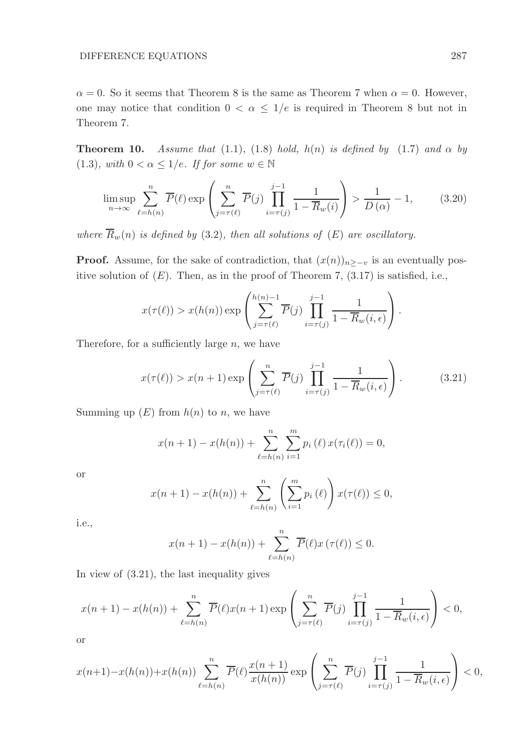$\alpha = 0$ . So it seems that Theorem 8 is the same as Theorem 7 when  $\alpha = 0$ . However, one may notice that condition  $0 < \alpha \leq 1/e$  is required in Theorem 8 but not in Theorem 7.

**Theorem 10.** Assume that (1.1), (1.8) hold, h(n) is defined by (1.7) and  $\alpha$  by (1.3), with  $0 < \alpha \leq 1/e$ . If for some  $w \in \mathbb{N}$ 

$$
\limsup_{n \to \infty} \sum_{\ell=h(n)}^{n} \overline{P}(\ell) \exp\left(\sum_{j=\tau(\ell)}^{n} \overline{P}(j) \prod_{i=\tau(j)}^{j-1} \frac{1}{1-\overline{R}_w(i)}\right) > \frac{1}{D(\alpha)} - 1, \quad (3.20)
$$

where  $\overline{R}_w(n)$  is defined by (3.2), then all solutions of (E) are oscillatory.

**Proof.** Assume, for the sake of contradiction, that  $(x(n))_{n\geq -v}$  is an eventually positive solution of  $(E)$ . Then, as in the proof of Theorem 7,  $(3.17)$  is satisfied, i.e.,

$$
x(\tau(\ell)) > x(h(n)) \exp \left( \sum_{j=\tau(\ell)}^{h(n)-1} \overline{P}(j) \prod_{i=\tau(j)}^{j-1} \frac{1}{1 - \overline{R}_w(i,\epsilon)} \right).
$$

Therefore, for a sufficiently large  $n$ , we have

$$
x(\tau(\ell)) > x(n+1) \exp\left(\sum_{j=\tau(\ell)}^{n} \overline{P}(j) \prod_{i=\tau(j)}^{j-1} \frac{1}{1 - \overline{R}_w(i, \epsilon)}\right).
$$
 (3.21)

Summing up  $(E)$  from  $h(n)$  to n, we have

$$
x(n + 1) - x(h(n)) + \sum_{\ell=h(n)}^{n} \sum_{i=1}^{m} p_i(\ell) x(\tau_i(\ell)) = 0,
$$

or

$$
x(n + 1) - x(h(n)) + \sum_{\ell=h(n)}^{n} \left( \sum_{i=1}^{m} p_i(\ell) \right) x(\tau(\ell)) \leq 0,
$$

i.e.,

$$
x(n + 1) - x(h(n)) + \sum_{\ell=h(n)}^{n} \overline{P}(\ell) x(\tau(\ell)) \leq 0.
$$

In view of (3.21), the last inequality gives

$$
x(n+1) - x(h(n)) + \sum_{\ell=h(n)}^{n} \overline{P}(\ell) x(n+1) \exp\left(\sum_{j=\tau(\ell)}^{n} \overline{P}(j) \prod_{i=\tau(j)}^{j-1} \frac{1}{1-\overline{R}_w(i,\epsilon)}\right) < 0,
$$

or

$$
x(n+1)-x(h(n))+x(h(n))\sum_{\ell=h(n)}^n \overline{P}(\ell)\frac{x(n+1)}{x(h(n))}\exp\left(\sum_{j=\tau(\ell)}^n \overline{P}(j)\prod_{i=\tau(j)}^{j-1}\frac{1}{1-\overline{R}_w(i,\epsilon)}\right)<0,
$$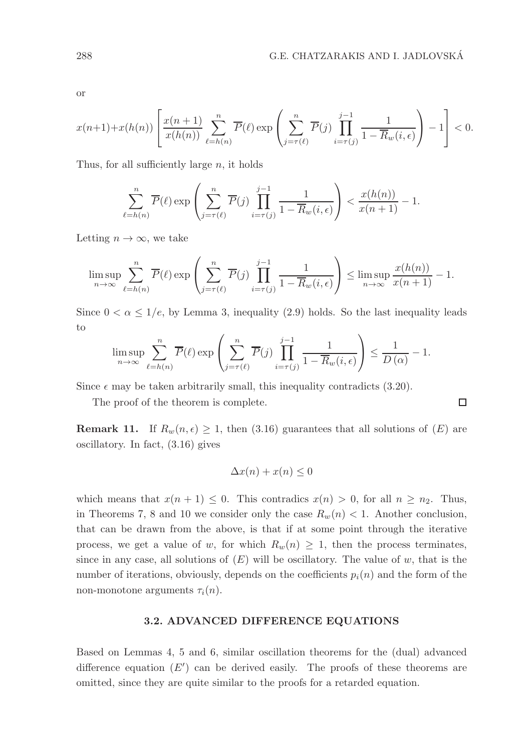□

or

$$
x(n+1)+x(h(n))\left[\frac{x(n+1)}{x(h(n))}\sum_{\ell=h(n)}^{n}\overline{P}(\ell)\exp\left(\sum_{j=\tau(\ell)}^{n}\overline{P}(j)\prod_{i=\tau(j)}^{j-1}\frac{1}{1-\overline{R}_{w}(i,\epsilon)}\right)-1\right]<0.
$$

Thus, for all sufficiently large  $n$ , it holds

$$
\sum_{\ell=h(n)}^n \overline{P}(\ell) \exp\left(\sum_{j=\tau(\ell)}^n \overline{P}(j) \prod_{i=\tau(j)}^{j-1} \frac{1}{1-\overline{R}_w(i,\epsilon)}\right) < \frac{x(h(n))}{x(n+1)} - 1.
$$

Letting  $n \to \infty$ , we take

$$
\limsup_{n \to \infty} \sum_{\ell=h(n)}^n \overline{P}(\ell) \exp\left(\sum_{j=\tau(\ell)}^n \overline{P}(j) \prod_{i=\tau(j)}^{j-1} \frac{1}{1-\overline{R}_w(i,\epsilon)}\right) \le \limsup_{n \to \infty} \frac{x(h(n))}{x(n+1)} - 1.
$$

Since  $0 < \alpha \leq 1/e$ , by Lemma 3, inequality (2.9) holds. So the last inequality leads to

$$
\limsup_{n \to \infty} \sum_{\ell=h(n)}^{n} \overline{P}(\ell) \exp\left(\sum_{j=\tau(\ell)}^{n} \overline{P}(j) \prod_{i=\tau(j)}^{j-1} \frac{1}{1-\overline{R}_w(i,\epsilon)}\right) \le \frac{1}{D(\alpha)} - 1.
$$

Since  $\epsilon$  may be taken arbitrarily small, this inequality contradicts (3.20).

The proof of the theorem is complete.

**Remark 11.** If  $R_w(n, \epsilon) \geq 1$ , then (3.16) guarantees that all solutions of  $(E)$  are oscillatory. In fact, (3.16) gives

$$
\Delta x(n) + x(n) \le 0
$$

which means that  $x(n + 1) \leq 0$ . This contradics  $x(n) > 0$ , for all  $n \geq n_2$ . Thus, in Theorems 7, 8 and 10 we consider only the case  $R_w(n)$  < 1. Another conclusion, that can be drawn from the above, is that if at some point through the iterative process, we get a value of w, for which  $R_w(n) \geq 1$ , then the process terminates, since in any case, all solutions of  $(E)$  will be oscillatory. The value of w, that is the number of iterations, obviously, depends on the coefficients  $p_i(n)$  and the form of the non-monotone arguments  $\tau_i(n)$ .

# 3.2. ADVANCED DIFFERENCE EQUATIONS

Based on Lemmas 4, 5 and 6, similar oscillation theorems for the (dual) advanced difference equation  $(E')$  can be derived easily. The proofs of these theorems are omitted, since they are quite similar to the proofs for a retarded equation.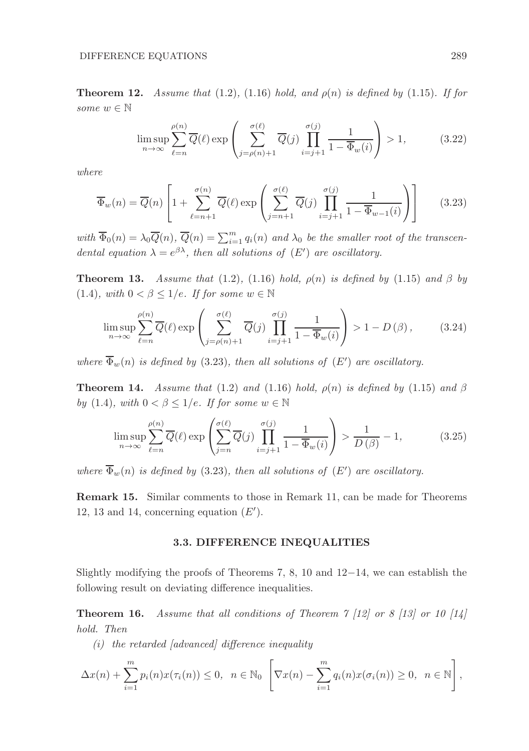#### DIFFERENCE EQUATIONS 289

**Theorem 12.** Assume that (1.2), (1.16) hold, and  $\rho(n)$  is defined by (1.15). If for some  $w \in \mathbb{N}$ 

$$
\limsup_{n \to \infty} \sum_{\ell=n}^{\rho(n)} \overline{Q}(\ell) \exp\left(\sum_{j=\rho(n)+1}^{\sigma(\ell)} \overline{Q}(j) \prod_{i=j+1}^{\sigma(j)} \frac{1}{1 - \overline{\Phi}_w(i)}\right) > 1, \quad (3.22)
$$

where

$$
\overline{\Phi}_w(n) = \overline{Q}(n) \left[ 1 + \sum_{\ell=n+1}^{\sigma(n)} \overline{Q}(\ell) \exp\left( \sum_{j=n+1}^{\sigma(\ell)} \overline{Q}(j) \prod_{i=j+1}^{\sigma(j)} \frac{1}{1 - \overline{\Phi}_{w-1}(i)} \right) \right]
$$
(3.23)

with  $\overline{\Phi}_0(n) = \lambda_0 \overline{Q}(n)$ ,  $\overline{Q}(n) = \sum_{i=1}^m q_i(n)$  and  $\lambda_0$  be the smaller root of the transcendental equation  $\lambda = e^{\beta \lambda}$ , then all solutions of  $(E')$  are oscillatory.

**Theorem 13.** Assume that (1.2), (1.16) hold,  $\rho(n)$  is defined by (1.15) and  $\beta$  by (1.4), with  $0 < \beta \leq 1/e$ . If for some  $w \in \mathbb{N}$ 

$$
\limsup_{n \to \infty} \sum_{\ell=n}^{\rho(n)} \overline{Q}(\ell) \exp\left(\sum_{j=\rho(n)+1}^{\sigma(\ell)} \overline{Q}(j) \prod_{i=j+1}^{\sigma(j)} \frac{1}{1 - \overline{\Phi}_w(i)}\right) > 1 - D(\beta), \quad (3.24)
$$

where  $\Phi_w(n)$  is defined by (3.23), then all solutions of  $(E')$  are oscillatory.

**Theorem 14.** Assume that (1.2) and (1.16) hold,  $\rho(n)$  is defined by (1.15) and  $\beta$ by (1.4), with  $0 < \beta \leq 1/e$ . If for some  $w \in \mathbb{N}$ 

$$
\limsup_{n \to \infty} \sum_{\ell=n}^{\rho(n)} \overline{Q}(\ell) \exp\left(\sum_{j=n}^{\sigma(\ell)} \overline{Q}(j) \prod_{i=j+1}^{\sigma(j)} \frac{1}{1 - \overline{\Phi}_w(i)}\right) > \frac{1}{D(\beta)} - 1, \tag{3.25}
$$

where  $\Phi_w(n)$  is defined by (3.23), then all solutions of  $(E')$  are oscillatory.

Remark 15. Similar comments to those in Remark 11, can be made for Theorems 12, 13 and 14, concerning equation  $(E')$ .

#### 3.3. DIFFERENCE INEQUALITIES

Slightly modifying the proofs of Theorems 7, 8, 10 and  $12-14$ , we can establish the following result on deviating difference inequalities.

**Theorem 16.** Assume that all conditions of Theorem  $\frac{7}{12}$  or  $\frac{8}{13}$  or 10  $\frac{14}{14}$ hold. Then

 $(i)$  the retarded [advanced] difference inequality

$$
\Delta x(n) + \sum_{i=1}^m p_i(n) x(\tau_i(n)) \leq 0, \quad n \in \mathbb{N}_0 \left[\nabla x(n) - \sum_{i=1}^m q_i(n) x(\sigma_i(n)) \geq 0, \quad n \in \mathbb{N}\right],
$$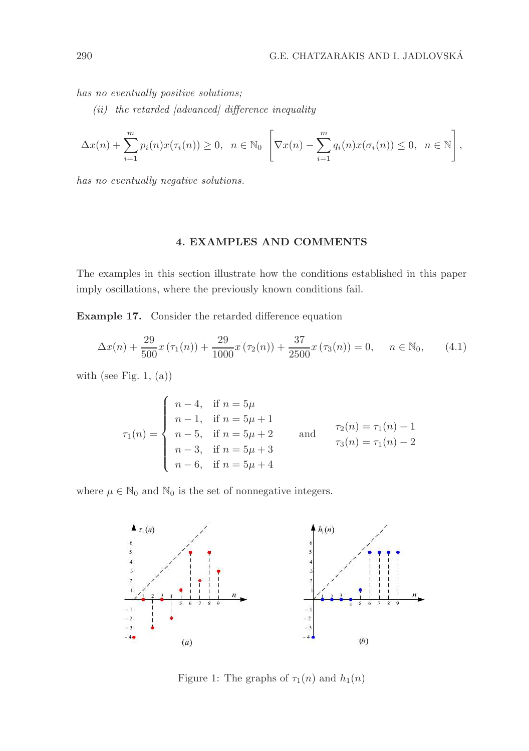has no eventually positive solutions;

 $(ii)$  the retarded [advanced] difference inequality

$$
\Delta x(n) + \sum_{i=1}^m p_i(n) x(\tau_i(n)) \ge 0, \quad n \in \mathbb{N}_0 \left[\nabla x(n) - \sum_{i=1}^m q_i(n) x(\sigma_i(n)) \le 0, \quad n \in \mathbb{N}\right],
$$

has no eventually negative solutions.

# 4. EXAMPLES AND COMMENTS

The examples in this section illustrate how the conditions established in this paper imply oscillations, where the previously known conditions fail.

Example 17. Consider the retarded difference equation

$$
\Delta x(n) + \frac{29}{500}x(\tau_1(n)) + \frac{29}{1000}x(\tau_2(n)) + \frac{37}{2500}x(\tau_3(n)) = 0, \quad n \in \mathbb{N}_0,
$$
 (4.1)

with (see Fig. 1,  $(a)$ )

$$
\tau_1(n) = \begin{cases}\n n-4, & \text{if } n = 5\mu \\
 n-1, & \text{if } n = 5\mu + 1 \\
 n-5, & \text{if } n = 5\mu + 2 \\
 n-3, & \text{if } n = 5\mu + 3 \\
 n-6, & \text{if } n = 5\mu + 4\n\end{cases} \quad \text{and} \quad \tau_2(n) = \tau_1(n) - 1
$$

where  $\mu \in \mathbb{N}_0$  and  $\mathbb{N}_0$  is the set of nonnegative integers.



Figure 1: The graphs of  $\tau_1(n)$  and  $h_1(n)$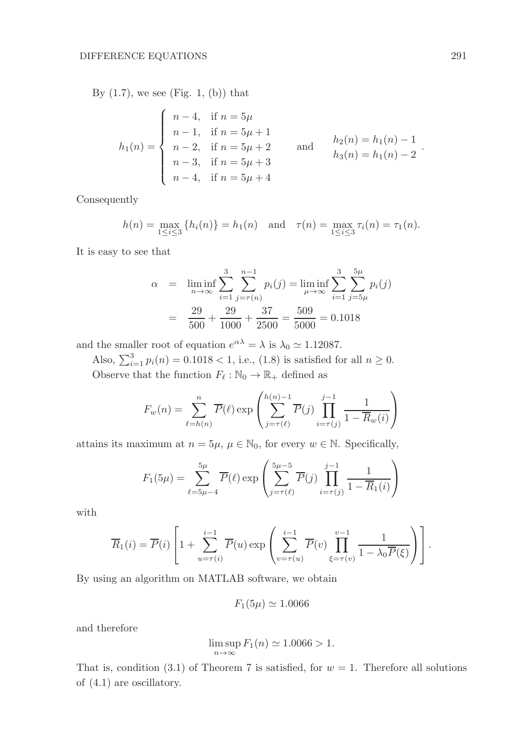By  $(1.7)$ , we see (Fig. 1, (b)) that

$$
h_1(n) = \begin{cases} n-4, & \text{if } n = 5\mu \\ n-1, & \text{if } n = 5\mu + 1 \\ n-2, & \text{if } n = 5\mu + 2 \\ n-3, & \text{if } n = 5\mu + 3 \\ n-4, & \text{if } n = 5\mu + 4 \end{cases} \quad \text{and} \quad h_2(n) = h_1(n) - 1
$$
  

$$
h_3(n) = h_1(n) - 2
$$

Consequently

$$
h(n) = \max_{1 \le i \le 3} \{ h_i(n) \} = h_1(n) \text{ and } \tau(n) = \max_{1 \le i \le 3} \tau_i(n) = \tau_1(n).
$$

It is easy to see that

$$
\alpha = \liminf_{n \to \infty} \sum_{i=1}^{3} \sum_{j=\tau(n)}^{n-1} p_i(j) = \liminf_{\mu \to \infty} \sum_{i=1}^{3} \sum_{j=5\mu}^{5\mu} p_i(j)
$$

$$
= \frac{29}{500} + \frac{29}{1000} + \frac{37}{2500} = \frac{509}{5000} = 0.1018
$$

and the smaller root of equation  $e^{\alpha\lambda} = \lambda$  is  $\lambda_0 \simeq 1.12087$ .

Also,  $\sum_{i=1}^{3} p_i(n) = 0.1018 < 1$ , i.e., (1.8) is satisfied for all  $n \ge 0$ . Observe that the function  $F_{\ell} : \mathbb{N}_0 \to \mathbb{R}_+$  defined as

$$
F_w(n) = \sum_{\ell=h(n)}^n \overline{P}(\ell) \exp\left(\sum_{j=\tau(\ell)}^{h(n)-1} \overline{P}(j) \prod_{i=\tau(j)}^{j-1} \frac{1}{1-\overline{R}_w(i)}\right)
$$

attains its maximum at  $n = 5\mu$ ,  $\mu \in \mathbb{N}_0$ , for every  $w \in \mathbb{N}$ . Specifically,

$$
F_1(5\mu) = \sum_{\ell=5\mu-4}^{5\mu} \overline{P}(\ell) \exp\left(\sum_{j=\tau(\ell)}^{5\mu-5} \overline{P}(j) \prod_{i=\tau(j)}^{j-1} \frac{1}{1-\overline{R}_1(i)}\right)
$$

with

$$
\overline{R}_1(i) = \overline{P}(i) \left[ 1 + \sum_{u=\tau(i)}^{i-1} \overline{P}(u) \exp \left( \sum_{v=\tau(u)}^{i-1} \overline{P}(v) \prod_{\xi=\tau(v)}^{v-1} \frac{1}{1 - \lambda_0 \overline{P}(\xi)} \right) \right].
$$

By using an algorithm on MATLAB software, we obtain

$$
F_1(5\mu) \simeq 1.0066
$$

and therefore

$$
\limsup_{n \to \infty} F_1(n) \simeq 1.0066 > 1.
$$

That is, condition (3.1) of Theorem 7 is satisfied, for  $w = 1$ . Therefore all solutions of (4.1) are oscillatory.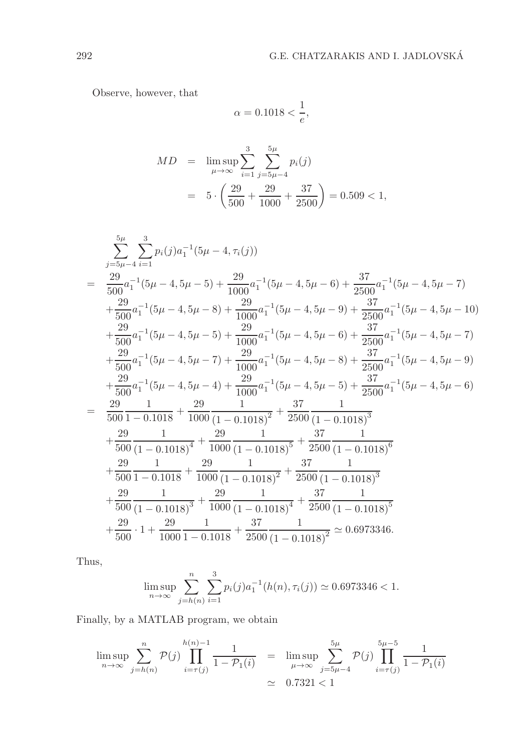Observe, however, that

$$
\alpha = 0.1018 < \frac{1}{e},
$$

$$
MD = \limsup_{\mu \to \infty} \sum_{i=1}^{3} \sum_{j=5\mu-4}^{5\mu} p_i(j)
$$
  
=  $5 \cdot \left(\frac{29}{500} + \frac{29}{1000} + \frac{37}{2500}\right) = 0.509 < 1,$ 

$$
\sum_{j=5\mu-4}^{5\mu} \sum_{i=1}^{3} p_i(j)a_1^{-1}(5\mu-4, \tau_i(j))
$$
\n
$$
= \frac{29}{500}a_1^{-1}(5\mu-4, 5\mu-5) + \frac{29}{1000}a_1^{-1}(5\mu-4, 5\mu-6) + \frac{37}{2500}a_1^{-1}(5\mu-4, 5\mu-7)
$$
\n
$$
+ \frac{29}{500}a_1^{-1}(5\mu-4, 5\mu-8) + \frac{29}{1000}a_1^{-1}(5\mu-4, 5\mu-9) + \frac{37}{2500}a_1^{-1}(5\mu-4, 5\mu-10)
$$
\n
$$
+ \frac{29}{500}a_1^{-1}(5\mu-4, 5\mu-5) + \frac{29}{1000}a_1^{-1}(5\mu-4, 5\mu-6) + \frac{37}{2500}a_1^{-1}(5\mu-4, 5\mu-7)
$$
\n
$$
+ \frac{29}{500}a_1^{-1}(5\mu-4, 5\mu-7) + \frac{29}{1000}a_1^{-1}(5\mu-4, 5\mu-8) + \frac{37}{2500}a_1^{-1}(5\mu-4, 5\mu-9)
$$
\n
$$
+ \frac{29}{500}a_1^{-1}(5\mu-4, 5\mu-4) + \frac{29}{1000}a_1^{-1}(5\mu-4, 5\mu-5) + \frac{37}{2500}a_1^{-1}(5\mu-4, 5\mu-6)
$$
\n
$$
= \frac{29}{500} \frac{1}{1 - 0.1018} + \frac{29}{1000} \frac{1}{(1 - 0.1018)^2} + \frac{37}{2500} \frac{1}{(1 - 0.1018)^3}
$$
\n
$$
+ \frac{29}{500} \frac{1}{(1 - 0.1018)^4} + \frac{29}{1000} \frac{1}{(1 - 0.1018)^5} + \frac{37}{2500} \frac{1}{(1 - 0.1018)^6}
$$
\n
$$
+ \frac{2
$$

Thus,

$$
\limsup_{n \to \infty} \sum_{j=h(n)}^{n} \sum_{i=1}^{3} p_i(j) a_1^{-1}(h(n), \tau_i(j)) \simeq 0.6973346 < 1.
$$

Finally, by a MATLAB program, we obtain

$$
\limsup_{n \to \infty} \sum_{j=h(n)}^{n} \mathcal{P}(j) \prod_{i=\tau(j)}^{h(n)-1} \frac{1}{1 - \mathcal{P}_1(i)} = \limsup_{\mu \to \infty} \sum_{j=5\mu-4}^{5\mu} \mathcal{P}(j) \prod_{i=\tau(j)}^{5\mu-5} \frac{1}{1 - \mathcal{P}_1(i)}
$$
  
 
$$
\approx 0.7321 < 1
$$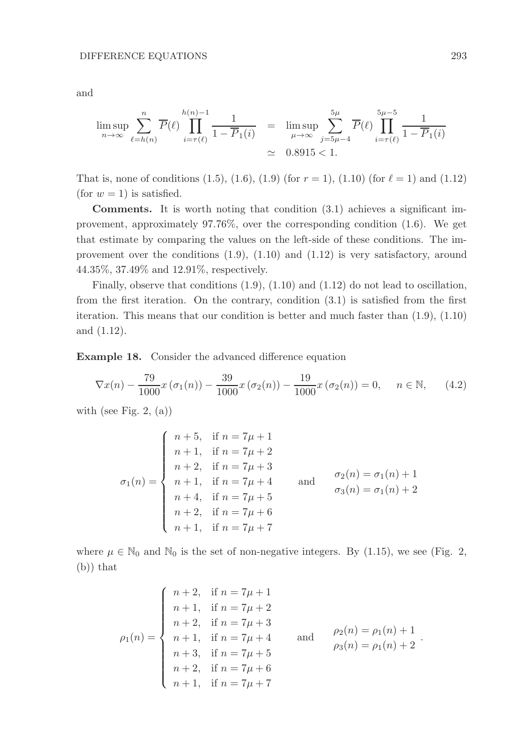$$
\limsup_{n \to \infty} \sum_{\ell=h(n)}^{n} \overline{P}(\ell) \prod_{i=\tau(\ell)}^{h(n)-1} \frac{1}{1-\overline{P}_1(i)} = \limsup_{\mu \to \infty} \sum_{j=5\mu-4}^{5\mu} \overline{P}(\ell) \prod_{i=\tau(\ell)}^{5\mu-5} \frac{1}{1-\overline{P}_1(i)}
$$
  
  $\simeq 0.8915 < 1.$ 

That is, none of conditions (1.5), (1.6), (1.9) (for  $r = 1$ ), (1.10) (for  $\ell = 1$ ) and (1.12) (for  $w = 1$ ) is satisfied.

Comments. It is worth noting that condition (3.1) achieves a significant improvement, approximately 97.76%, over the corresponding condition (1.6). We get that estimate by comparing the values on the left-side of these conditions. The improvement over the conditions  $(1.9)$ ,  $(1.10)$  and  $(1.12)$  is very satisfactory, around 44.35%, 37.49% and 12.91%, respectively.

Finally, observe that conditions (1.9), (1.10) and (1.12) do not lead to oscillation, from the first iteration. On the contrary, condition (3.1) is satisfied from the first iteration. This means that our condition is better and much faster than (1.9), (1.10) and (1.12).

Example 18. Consider the advanced difference equation

$$
\nabla x(n) - \frac{79}{1000}x(\sigma_1(n)) - \frac{39}{1000}x(\sigma_2(n)) - \frac{19}{1000}x(\sigma_2(n)) = 0, \quad n \in \mathbb{N}, \tag{4.2}
$$

with (see Fig. 2,  $(a)$ )

$$
\sigma_1(n) = \begin{cases}\n n+5, & \text{if } n = 7\mu + 1 \\
 n+1, & \text{if } n = 7\mu + 2 \\
 n+2, & \text{if } n = 7\mu + 3 \\
 n+1, & \text{if } n = 7\mu + 4 \\
 n+4, & \text{if } n = 7\mu + 5 \\
 n+2, & \text{if } n = 7\mu + 6 \\
 n+1, & \text{if } n = 7\mu + 7\n\end{cases}\n\quad\n\sigma_2(n) = \sigma_1(n) + 1
$$

where  $\mu \in \mathbb{N}_0$  and  $\mathbb{N}_0$  is the set of non-negative integers. By (1.15), we see (Fig. 2, (b)) that

$$
\rho_1(n) = \begin{cases}\n n+2, & \text{if } n = 7\mu + 1 \\
 n+1, & \text{if } n = 7\mu + 2 \\
 n+2, & \text{if } n = 7\mu + 3 \\
 n+1, & \text{if } n = 7\mu + 4 \\
 n+3, & \text{if } n = 7\mu + 5 \\
 n+2, & \text{if } n = 7\mu + 6 \\
 n+1, & \text{if } n = 7\mu + 7\n\end{cases}\n\quad \text{and} \quad\n\begin{aligned}\n\rho_2(n) &= \rho_1(n) + 1 \\
\rho_3(n) &= \rho_1(n) + 2 \\
\rho_4(n) &= \rho_1(n) + 2\n\end{aligned}
$$

.

and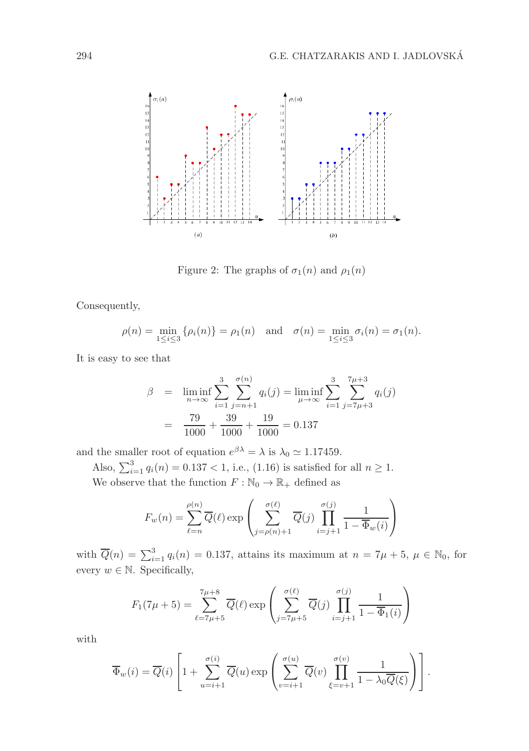

Figure 2: The graphs of  $\sigma_1(n)$  and  $\rho_1(n)$ 

Consequently,

$$
\rho(n) = \min_{1 \le i \le 3} {\rho_i(n)} = \rho_1(n)
$$
 and  $\sigma(n) = \min_{1 \le i \le 3} \sigma_i(n) = \sigma_1(n)$ .

It is easy to see that

$$
\beta = \liminf_{n \to \infty} \sum_{i=1}^{3} \sum_{j=n+1}^{\sigma(n)} q_i(j) = \liminf_{\mu \to \infty} \sum_{i=1}^{3} \sum_{j=7\mu+3}^{7\mu+3} q_i(j)
$$

$$
= \frac{79}{1000} + \frac{39}{1000} + \frac{19}{1000} = 0.137
$$

and the smaller root of equation  $e^{\beta \lambda} = \lambda$  is  $\lambda_0 \simeq 1.17459$ .

Also,  $\sum_{i=1}^{3} q_i(n) = 0.137 < 1$ , i.e., (1.16) is satisfied for all  $n \ge 1$ . We observe that the function  $F:\mathbb{N}_0\rightarrow\mathbb{R}_+$  defined as

$$
F_w(n) = \sum_{\ell=n}^{\rho(n)} \overline{Q}(\ell) \exp\left(\sum_{j=\rho(n)+1}^{\sigma(\ell)} \overline{Q}(j) \prod_{i=j+1}^{\sigma(j)} \frac{1}{1-\overline{\Phi}_w(i)}\right)
$$

with  $\overline{Q}(n) = \sum_{i=1}^{3} q_i(n) = 0.137$ , attains its maximum at  $n = 7\mu + 5$ ,  $\mu \in \mathbb{N}_0$ , for every  $w \in \mathbb{N}$ . Specifically,

$$
F_1(7\mu + 5) = \sum_{\ell=7\mu+5}^{7\mu+8} \overline{Q}(\ell) \exp\left(\sum_{j=7\mu+5}^{\sigma(\ell)} \overline{Q}(j) \prod_{i=j+1}^{\sigma(j)} \frac{1}{1 - \overline{\Phi}_1(i)}\right)
$$

with

$$
\overline{\Phi}_w(i) = \overline{Q}(i) \left[ 1 + \sum_{u=i+1}^{\sigma(i)} \overline{Q}(u) \exp \left( \sum_{v=i+1}^{\sigma(u)} \overline{Q}(v) \prod_{\xi=v+1}^{\sigma(v)} \frac{1}{1 - \lambda_0 \overline{Q}(\xi)} \right) \right].
$$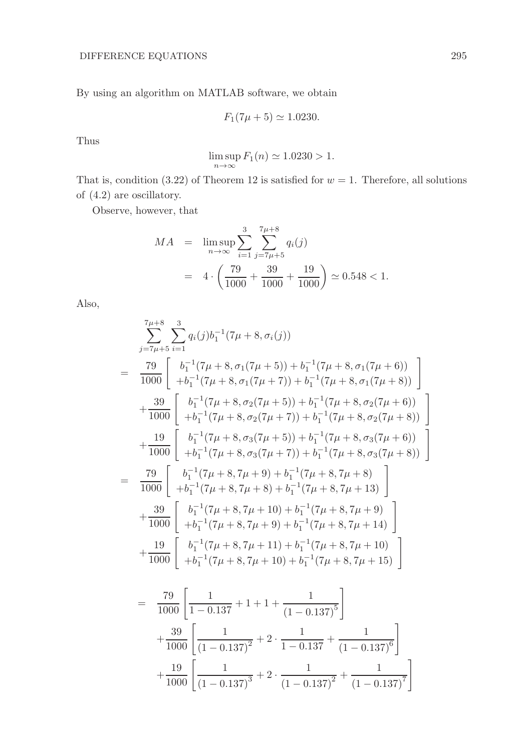By using an algorithm on MATLAB software, we obtain

$$
F_1(7\mu + 5) \simeq 1.0230.
$$

Thus

$$
\limsup_{n \to \infty} F_1(n) \simeq 1.0230 > 1.
$$

That is, condition (3.22) of Theorem 12 is satisfied for  $w = 1$ . Therefore, all solutions of (4.2) are oscillatory.

Observe, however, that

$$
MA = \limsup_{n \to \infty} \sum_{i=1}^{3} \sum_{j=T\mu+5}^{7\mu+8} q_i(j)
$$
  
=  $4 \cdot \left(\frac{79}{1000} + \frac{39}{1000} + \frac{19}{1000}\right) \approx 0.548 < 1.$ 

Also,

$$
\sum_{j=\frac{7\mu+5}{4}}^{7\mu+8} \sum_{i=1}^{3} q_i(j) b_1^{-1} (7\mu+8, \sigma_i(j))
$$
\n=
$$
\frac{79}{1000} \begin{bmatrix} b_1^{-1} (7\mu+8, \sigma_1 (7\mu+5)) + b_1^{-1} (7\mu+8, \sigma_1 (7\mu+6)) \\ + b_1^{-1} (7\mu+8, \sigma_1 (7\mu+7)) + b_1^{-1} (7\mu+8, \sigma_2 (7\mu+8)) \end{bmatrix}
$$
\n
$$
+ \frac{39}{1000} \begin{bmatrix} b_1^{-1} (7\mu+8, \sigma_2 (7\mu+5)) + b_1^{-1} (7\mu+8, \sigma_2 (7\mu+6)) \\ + b_1^{-1} (7\mu+8, \sigma_2 (7\mu+7)) + b_1^{-1} (7\mu+8, \sigma_2 (7\mu+8)) \end{bmatrix}
$$
\n
$$
+ \frac{19}{1000} \begin{bmatrix} b_1^{-1} (7\mu+8, \sigma_3 (7\mu+5)) + b_1^{-1} (7\mu+8, \sigma_3 (7\mu+8)) \\ + b_1^{-1} (7\mu+8, \sigma_3 (7\mu+7)) + b_1^{-1} (7\mu+8, \sigma_3 (7\mu+8)) \end{bmatrix}
$$
\n=
$$
\frac{79}{1000} \begin{bmatrix} b_1^{-1} (7\mu+8, 7\mu+9) + b_1^{-1} (7\mu+8, 7\mu+8) \\ + b_1^{-1} (7\mu+8, 7\mu+8) + b_1^{-1} (7\mu+8, 7\mu+13) \end{bmatrix}
$$
\n
$$
+ \frac{39}{1000} \begin{bmatrix} b_1^{-1} (7\mu+8, 7\mu+10) + b_1^{-1} (7\mu+8, 7\mu+14) \\ + b_1^{-1} (7\mu+8, 7\mu+11) + b_1^{-1} (7\mu+8, 7\mu+15) \end{bmatrix}
$$
\n=
$$
\frac{79}{1000} \begin{bmatrix} b_1^{-1} (7\mu+8, 7\mu+11) + b_1^{-1} (7\mu+8, 7\mu+15) \\ + b
$$

 $(1 - 0.137)^7$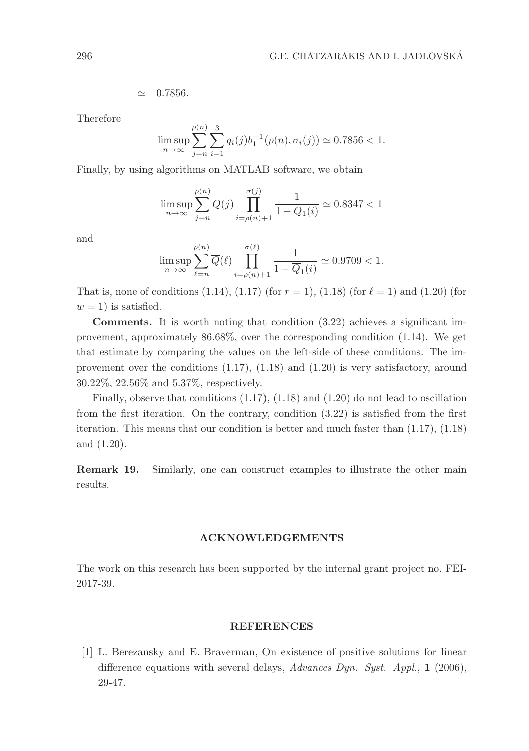$$
\simeq\quad 0.7856.
$$

Therefore

$$
\limsup_{n \to \infty} \sum_{j=n}^{\rho(n)} \sum_{i=1}^{3} q_i(j) b_1^{-1} (\rho(n), \sigma_i(j)) \simeq 0.7856 < 1.
$$

Finally, by using algorithms on MATLAB software, we obtain

(n)

$$
\limsup_{n \to \infty} \sum_{j=n}^{\rho(n)} Q(j) \prod_{i=\rho(n)+1}^{\sigma(j)} \frac{1}{1 - Q_1(i)} \simeq 0.8347 < 1
$$

and

$$
\limsup_{n \to \infty} \sum_{\ell=n}^{\rho(n)} \overline{Q}(\ell) \prod_{i=\rho(n)+1}^{\sigma(\ell)} \frac{1}{1 - \overline{Q}_1(i)} \simeq 0.9709 < 1.
$$

That is, none of conditions  $(1.14)$ ,  $(1.17)$  (for  $r = 1$ ),  $(1.18)$  (for  $\ell = 1$ ) and  $(1.20)$  (for  $w = 1$ ) is satisfied.

Comments. It is worth noting that condition (3.22) achieves a significant improvement, approximately 86.68%, over the corresponding condition (1.14). We get that estimate by comparing the values on the left-side of these conditions. The improvement over the conditions (1.17), (1.18) and (1.20) is very satisfactory, around 30.22%, 22.56% and 5.37%, respectively.

Finally, observe that conditions (1.17), (1.18) and (1.20) do not lead to oscillation from the first iteration. On the contrary, condition (3.22) is satisfied from the first iteration. This means that our condition is better and much faster than (1.17), (1.18) and (1.20).

Remark 19. Similarly, one can construct examples to illustrate the other main results.

#### ACKNOWLEDGEMENTS

The work on this research has been supported by the internal grant project no. FEI-2017-39.

#### REFERENCES

[1] L. Berezansky and E. Braverman, On existence of positive solutions for linear difference equations with several delays, Advances Dyn. Syst. Appl., 1 (2006), 29-47.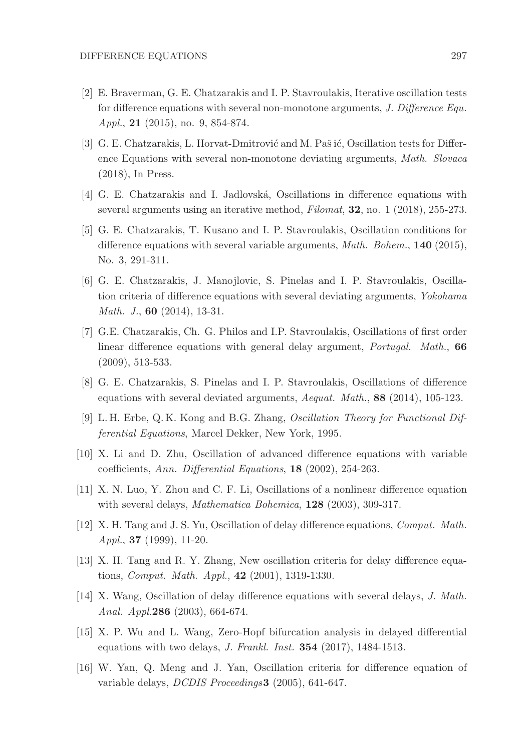- [2] E. Braverman, G. E. Chatzarakis and I. P. Stavroulakis, Iterative oscillation tests for difference equations with several non-monotone arguments, J. Difference Equ. Appl., 21 (2015), no. 9, 854-874.
- [3] G. E. Chatzarakis, L. Horvat-Dmitrović and M. Paš ić, Oscillation tests for Difference Equations with several non-monotone deviating arguments, Math. Slovaca (2018), In Press.
- [4] G. E. Chatzarakis and I. Jadlovská, Oscillations in difference equations with several arguments using an iterative method, Filomat, 32, no. 1 (2018), 255-273.
- [5] G. E. Chatzarakis, T. Kusano and I. P. Stavroulakis, Oscillation conditions for difference equations with several variable arguments, *Math. Bohem.*, **140** (2015), No. 3, 291-311.
- [6] G. E. Chatzarakis, J. Manojlovic, S. Pinelas and I. P. Stavroulakis, Oscillation criteria of difference equations with several deviating arguments, Yokohama Math. J., **60** (2014), 13-31.
- [7] G.E. Chatzarakis, Ch. G. Philos and I.P. Stavroulakis, Oscillations of first order linear difference equations with general delay argument, *Portugal. Math.*, 66 (2009), 513-533.
- [8] G. E. Chatzarakis, S. Pinelas and I. P. Stavroulakis, Oscillations of difference equations with several deviated arguments, Aequat. Math., 88 (2014), 105-123.
- [9] L. H. Erbe, Q. K. Kong and B.G. Zhang, Oscillation Theory for Functional Differential Equations, Marcel Dekker, New York, 1995.
- [10] X. Li and D. Zhu, Oscillation of advanced difference equations with variable coefficients, Ann. Differential Equations, 18 (2002), 254-263.
- [11] X. N. Luo, Y. Zhou and C. F. Li, Oscillations of a nonlinear difference equation with several delays, *Mathematica Bohemica*, **128** (2003), 309-317.
- [12] X. H. Tang and J. S. Yu, Oscillation of delay difference equations, Comput. Math.  $Appl., 37 (1999), 11-20.$
- [13] X. H. Tang and R. Y. Zhang, New oscillation criteria for delay difference equations, Comput. Math. Appl., 42 (2001), 1319-1330.
- [14] X. Wang, Oscillation of delay difference equations with several delays, J. Math. Anal. Appl.286 (2003), 664-674.
- [15] X. P. Wu and L. Wang, Zero-Hopf bifurcation analysis in delayed differential equations with two delays, J. Frankl. Inst. 354 (2017), 1484-1513.
- [16] W. Yan, Q. Meng and J. Yan, Oscillation criteria for difference equation of variable delays, DCDIS Proceedings3 (2005), 641-647.